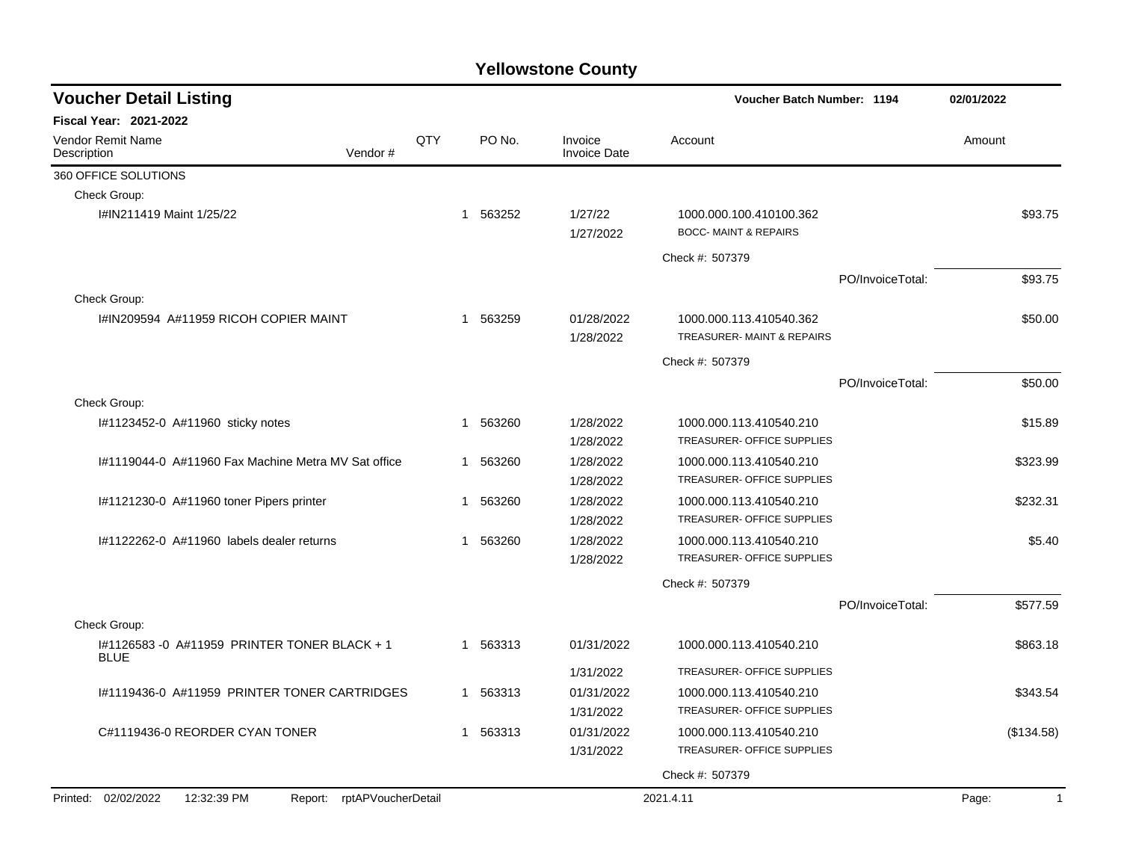| <b>Voucher Detail Listing</b>                                    |     |                          |                                | Voucher Batch Number: 1194                                 |                  | 02/01/2022  |
|------------------------------------------------------------------|-----|--------------------------|--------------------------------|------------------------------------------------------------|------------------|-------------|
| <b>Fiscal Year: 2021-2022</b>                                    |     |                          |                                |                                                            |                  |             |
| Vendor Remit Name<br>Description<br>Vendor#                      | QTY | PO No.                   | Invoice<br><b>Invoice Date</b> | Account                                                    |                  | Amount      |
| 360 OFFICE SOLUTIONS                                             |     |                          |                                |                                                            |                  |             |
| Check Group:                                                     |     |                          |                                |                                                            |                  |             |
| I#IN211419 Maint 1/25/22                                         |     | 563252<br>$\mathbf 1$    | 1/27/22<br>1/27/2022           | 1000.000.100.410100.362<br><b>BOCC-MAINT &amp; REPAIRS</b> |                  | \$93.75     |
|                                                                  |     |                          |                                | Check #: 507379                                            |                  |             |
|                                                                  |     |                          |                                |                                                            | PO/InvoiceTotal: | \$93.75     |
| Check Group:                                                     |     |                          |                                |                                                            |                  |             |
| I#IN209594 A#11959 RICOH COPIER MAINT                            |     | 563259<br>$\mathbf 1$    | 01/28/2022<br>1/28/2022        | 1000.000.113.410540.362<br>TREASURER-MAINT & REPAIRS       |                  | \$50.00     |
|                                                                  |     |                          |                                | Check #: 507379                                            |                  |             |
|                                                                  |     |                          |                                |                                                            | PO/InvoiceTotal: | \$50.00     |
| Check Group:                                                     |     |                          |                                |                                                            |                  |             |
| #1123452-0 A#11960 sticky notes                                  |     | 563260<br>$\overline{1}$ | 1/28/2022<br>1/28/2022         | 1000.000.113.410540.210<br>TREASURER- OFFICE SUPPLIES      |                  | \$15.89     |
| 1#1119044-0 A#11960 Fax Machine Metra MV Sat office              |     | 563260<br>$\mathbf 1$    | 1/28/2022<br>1/28/2022         | 1000.000.113.410540.210<br>TREASURER- OFFICE SUPPLIES      |                  | \$323.99    |
| I#1121230-0 A#11960 toner Pipers printer                         |     | 563260<br>1              | 1/28/2022<br>1/28/2022         | 1000.000.113.410540.210<br>TREASURER- OFFICE SUPPLIES      |                  | \$232.31    |
| #1122262-0 A#11960 labels dealer returns                         |     | 563260<br>1              | 1/28/2022<br>1/28/2022         | 1000.000.113.410540.210<br>TREASURER- OFFICE SUPPLIES      |                  | \$5.40      |
|                                                                  |     |                          |                                | Check #: 507379                                            |                  |             |
|                                                                  |     |                          |                                |                                                            | PO/InvoiceTotal: | \$577.59    |
| Check Group:                                                     |     |                          |                                |                                                            |                  |             |
| #1126583 -0 A#11959 PRINTER TONER BLACK + 1<br><b>BLUE</b>       |     | 563313<br>$\mathbf{1}$   | 01/31/2022                     | 1000.000.113.410540.210                                    |                  | \$863.18    |
|                                                                  |     |                          | 1/31/2022                      | TREASURER- OFFICE SUPPLIES                                 |                  |             |
| I#1119436-0 A#11959 PRINTER TONER CARTRIDGES                     |     | 563313<br>$\mathbf{1}$   | 01/31/2022                     | 1000.000.113.410540.210                                    |                  | \$343.54    |
|                                                                  |     |                          | 1/31/2022                      | TREASURER- OFFICE SUPPLIES                                 |                  |             |
| C#1119436-0 REORDER CYAN TONER                                   |     | 563313<br>1              | 01/31/2022                     | 1000.000.113.410540.210                                    |                  | (\$134.58)  |
|                                                                  |     |                          | 1/31/2022                      | TREASURER- OFFICE SUPPLIES                                 |                  |             |
|                                                                  |     |                          |                                | Check #: 507379                                            |                  |             |
| Printed: 02/02/2022<br>12:32:39 PM<br>Report: rptAPVoucherDetail |     |                          |                                | 2021.4.11                                                  |                  | Page:<br>-1 |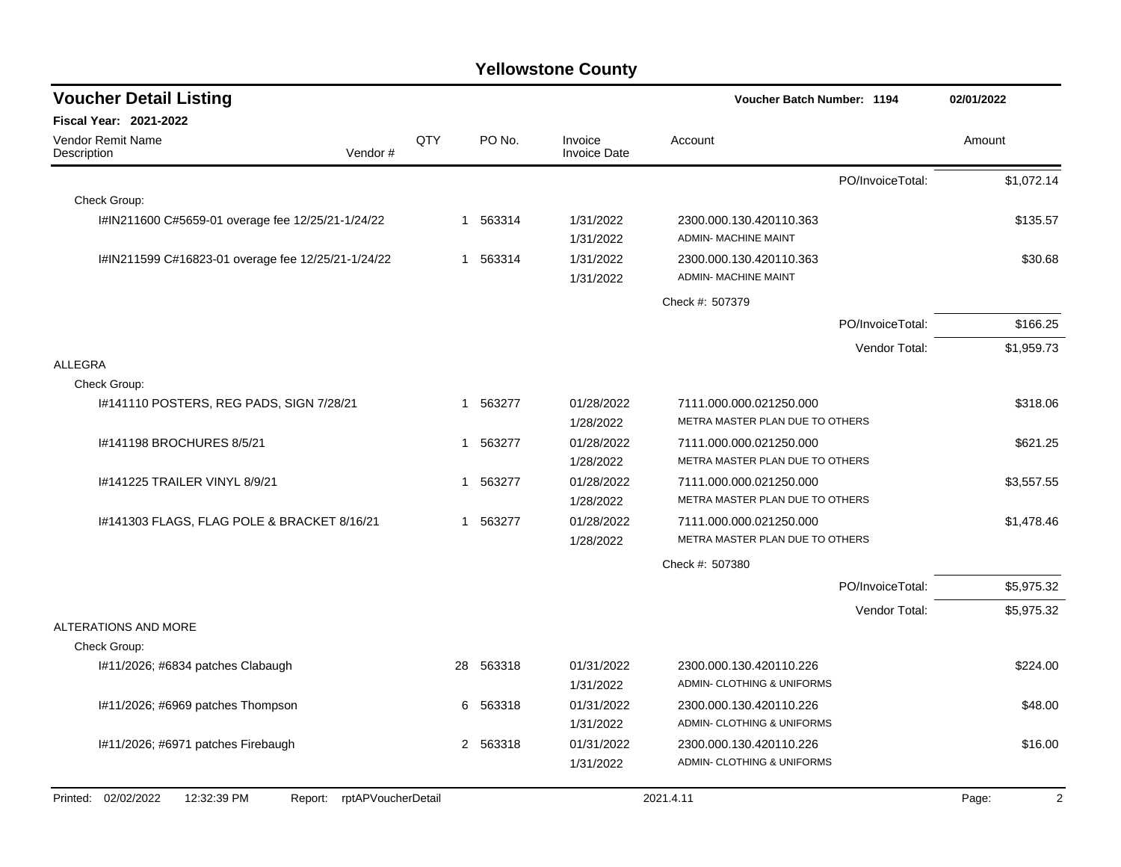| <b>Voucher Detail Listing</b>                                       |     |           |                                | Voucher Batch Number: 1194                                 |                  | 02/01/2022 |
|---------------------------------------------------------------------|-----|-----------|--------------------------------|------------------------------------------------------------|------------------|------------|
| Fiscal Year: 2021-2022                                              |     |           |                                |                                                            |                  |            |
| Vendor Remit Name<br>Description<br>Vendor#                         | QTY | PO No.    | Invoice<br><b>Invoice Date</b> | Account                                                    |                  | Amount     |
|                                                                     |     |           |                                |                                                            | PO/InvoiceTotal: | \$1,072.14 |
| Check Group:                                                        |     |           |                                |                                                            |                  |            |
| I#IN211600 C#5659-01 overage fee 12/25/21-1/24/22                   | 1   | 563314    | 1/31/2022<br>1/31/2022         | 2300.000.130.420110.363<br>ADMIN- MACHINE MAINT            |                  | \$135.57   |
| I#IN211599 C#16823-01 overage fee 12/25/21-1/24/22                  | 1   | 563314    | 1/31/2022<br>1/31/2022         | 2300.000.130.420110.363<br><b>ADMIN- MACHINE MAINT</b>     |                  | \$30.68    |
|                                                                     |     |           |                                | Check #: 507379                                            |                  |            |
|                                                                     |     |           |                                |                                                            | PO/InvoiceTotal: | \$166.25   |
|                                                                     |     |           |                                |                                                            | Vendor Total:    | \$1,959.73 |
| <b>ALLEGRA</b>                                                      |     |           |                                |                                                            |                  |            |
| Check Group:                                                        |     |           |                                |                                                            |                  |            |
| #141110 POSTERS, REG PADS, SIGN 7/28/21                             | 1   | 563277    | 01/28/2022<br>1/28/2022        | 7111.000.000.021250.000<br>METRA MASTER PLAN DUE TO OTHERS |                  | \$318.06   |
| I#141198 BROCHURES 8/5/21                                           | 1   | 563277    | 01/28/2022<br>1/28/2022        | 7111.000.000.021250.000<br>METRA MASTER PLAN DUE TO OTHERS |                  | \$621.25   |
| 1#141225 TRAILER VINYL 8/9/21                                       | 1   | 563277    | 01/28/2022<br>1/28/2022        | 7111.000.000.021250.000<br>METRA MASTER PLAN DUE TO OTHERS |                  | \$3,557.55 |
| 1#141303 FLAGS, FLAG POLE & BRACKET 8/16/21                         |     | 1 563277  | 01/28/2022<br>1/28/2022        | 7111.000.000.021250.000<br>METRA MASTER PLAN DUE TO OTHERS |                  | \$1,478.46 |
|                                                                     |     |           |                                | Check #: 507380                                            |                  |            |
|                                                                     |     |           |                                |                                                            | PO/InvoiceTotal: | \$5,975.32 |
|                                                                     |     |           |                                |                                                            | Vendor Total:    | \$5,975.32 |
| ALTERATIONS AND MORE                                                |     |           |                                |                                                            |                  |            |
| Check Group:                                                        |     |           |                                |                                                            |                  |            |
| I#11/2026; #6834 patches Clabaugh                                   |     | 28 563318 | 01/31/2022<br>1/31/2022        | 2300.000.130.420110.226<br>ADMIN- CLOTHING & UNIFORMS      |                  | \$224.00   |
| I#11/2026; #6969 patches Thompson                                   |     | 6 563318  | 01/31/2022<br>1/31/2022        | 2300.000.130.420110.226<br>ADMIN- CLOTHING & UNIFORMS      |                  | \$48.00    |
| I#11/2026; #6971 patches Firebaugh                                  |     | 2 563318  | 01/31/2022<br>1/31/2022        | 2300.000.130.420110.226<br>ADMIN- CLOTHING & UNIFORMS      |                  | \$16.00    |
| Printed: 02/02/2022<br>12:32:39 PM<br>rptAPVoucherDetail<br>Report: |     |           |                                | 2021.4.11                                                  |                  | 2<br>Page: |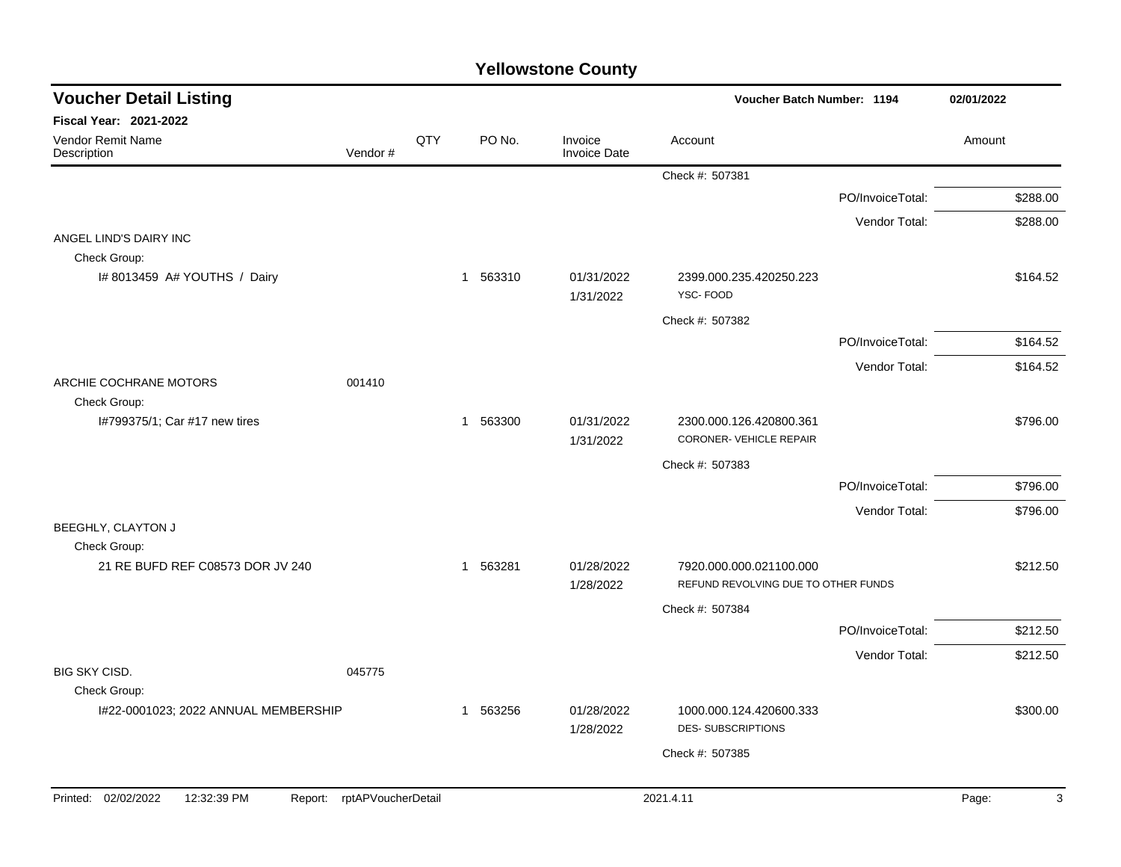| <b>Voucher Detail Listing</b>                 |                    |     |                       |                                | Voucher Batch Number: 1194                                     |                  | 02/01/2022 |          |
|-----------------------------------------------|--------------------|-----|-----------------------|--------------------------------|----------------------------------------------------------------|------------------|------------|----------|
| Fiscal Year: 2021-2022                        |                    |     |                       |                                |                                                                |                  |            |          |
| Vendor Remit Name<br>Description              | Vendor#            | QTY | PO No.                | Invoice<br><b>Invoice Date</b> | Account                                                        |                  | Amount     |          |
|                                               |                    |     |                       |                                | Check #: 507381                                                |                  |            |          |
|                                               |                    |     |                       |                                |                                                                | PO/InvoiceTotal: |            | \$288.00 |
|                                               |                    |     |                       |                                |                                                                | Vendor Total:    |            | \$288.00 |
| ANGEL LIND'S DAIRY INC                        |                    |     |                       |                                |                                                                |                  |            |          |
| Check Group:<br>I# 8013459 A# YOUTHS / Dairy  |                    |     | 1 563310              | 01/31/2022<br>1/31/2022        | 2399.000.235.420250.223<br>YSC-FOOD                            |                  |            | \$164.52 |
|                                               |                    |     |                       |                                | Check #: 507382                                                |                  |            |          |
|                                               |                    |     |                       |                                |                                                                | PO/InvoiceTotal: |            | \$164.52 |
|                                               |                    |     |                       |                                |                                                                | Vendor Total:    |            | \$164.52 |
| ARCHIE COCHRANE MOTORS                        | 001410             |     |                       |                                |                                                                |                  |            |          |
| Check Group:                                  |                    |     |                       |                                |                                                                |                  |            |          |
| I#799375/1; Car #17 new tires                 |                    |     | 1 563300              | 01/31/2022<br>1/31/2022        | 2300.000.126.420800.361<br>CORONER-VEHICLE REPAIR              |                  |            | \$796.00 |
|                                               |                    |     |                       |                                | Check #: 507383                                                |                  |            |          |
|                                               |                    |     |                       |                                |                                                                | PO/InvoiceTotal: |            | \$796.00 |
|                                               |                    |     |                       |                                |                                                                | Vendor Total:    |            | \$796.00 |
| BEEGHLY, CLAYTON J                            |                    |     |                       |                                |                                                                |                  |            |          |
| Check Group:                                  |                    |     |                       |                                |                                                                |                  |            |          |
| 21 RE BUFD REF C08573 DOR JV 240              |                    |     | 563281<br>$\mathbf 1$ | 01/28/2022<br>1/28/2022        | 7920.000.000.021100.000<br>REFUND REVOLVING DUE TO OTHER FUNDS |                  |            | \$212.50 |
|                                               |                    |     |                       |                                | Check #: 507384                                                |                  |            |          |
|                                               |                    |     |                       |                                |                                                                | PO/InvoiceTotal: |            | \$212.50 |
|                                               |                    |     |                       |                                |                                                                | Vendor Total:    |            | \$212.50 |
| BIG SKY CISD.                                 | 045775             |     |                       |                                |                                                                |                  |            |          |
| Check Group:                                  |                    |     |                       |                                |                                                                |                  |            |          |
| I#22-0001023; 2022 ANNUAL MEMBERSHIP          |                    |     | 563256<br>-1          | 01/28/2022<br>1/28/2022        | 1000.000.124.420600.333<br><b>DES-SUBSCRIPTIONS</b>            |                  |            | \$300.00 |
|                                               |                    |     |                       |                                | Check #: 507385                                                |                  |            |          |
|                                               |                    |     |                       |                                |                                                                |                  |            |          |
| Printed: 02/02/2022<br>12:32:39 PM<br>Report: | rptAPVoucherDetail |     |                       |                                | 2021.4.11                                                      |                  | Page:      | 3        |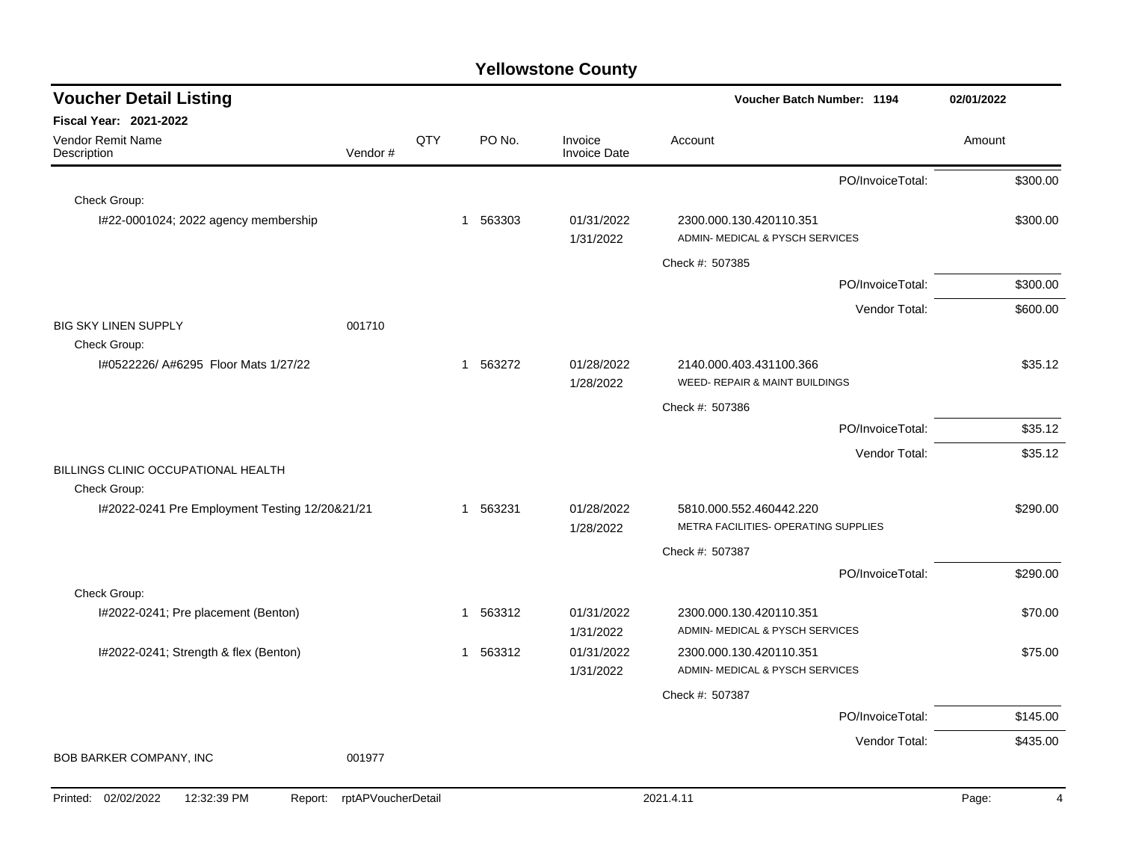| <b>Voucher Detail Listing</b>                                       |     |                        |                                | Voucher Batch Number: 1194                                      | 02/01/2022              |
|---------------------------------------------------------------------|-----|------------------------|--------------------------------|-----------------------------------------------------------------|-------------------------|
| <b>Fiscal Year: 2021-2022</b>                                       |     |                        |                                |                                                                 |                         |
| Vendor Remit Name<br>Vendor#<br>Description                         | QTY | PO No.                 | Invoice<br><b>Invoice Date</b> | Account                                                         | Amount                  |
|                                                                     |     |                        |                                | PO/InvoiceTotal:                                                | \$300.00                |
| Check Group:                                                        |     |                        |                                |                                                                 |                         |
| I#22-0001024; 2022 agency membership                                |     | 563303<br>1            | 01/31/2022<br>1/31/2022        | 2300.000.130.420110.351<br>ADMIN- MEDICAL & PYSCH SERVICES      | \$300.00                |
|                                                                     |     |                        |                                | Check #: 507385                                                 |                         |
|                                                                     |     |                        |                                | PO/InvoiceTotal:                                                | \$300.00                |
|                                                                     |     |                        |                                | Vendor Total:                                                   | \$600.00                |
| <b>BIG SKY LINEN SUPPLY</b><br>001710                               |     |                        |                                |                                                                 |                         |
| Check Group:                                                        |     |                        |                                |                                                                 |                         |
| I#0522226/ A#6295 Floor Mats 1/27/22                                |     | 1 563272               | 01/28/2022<br>1/28/2022        | 2140.000.403.431100.366<br>WEED- REPAIR & MAINT BUILDINGS       | \$35.12                 |
|                                                                     |     |                        |                                | Check #: 507386                                                 |                         |
|                                                                     |     |                        |                                | PO/InvoiceTotal:                                                | \$35.12                 |
|                                                                     |     |                        |                                | Vendor Total:                                                   | \$35.12                 |
| BILLINGS CLINIC OCCUPATIONAL HEALTH                                 |     |                        |                                |                                                                 |                         |
| Check Group:                                                        |     |                        |                                |                                                                 |                         |
| I#2022-0241 Pre Employment Testing 12/20&21/21                      |     | 563231<br>1            | 01/28/2022<br>1/28/2022        | 5810.000.552.460442.220<br>METRA FACILITIES- OPERATING SUPPLIES | \$290.00                |
|                                                                     |     |                        |                                | Check #: 507387                                                 |                         |
|                                                                     |     |                        |                                | PO/InvoiceTotal:                                                | \$290.00                |
| Check Group:                                                        |     |                        |                                |                                                                 |                         |
| I#2022-0241; Pre placement (Benton)                                 |     | 563312<br>$\mathbf{1}$ | 01/31/2022                     | 2300.000.130.420110.351                                         | \$70.00                 |
|                                                                     |     |                        | 1/31/2022                      | ADMIN- MEDICAL & PYSCH SERVICES                                 |                         |
| I#2022-0241; Strength & flex (Benton)                               |     | 563312<br>1            | 01/31/2022<br>1/31/2022        | 2300.000.130.420110.351<br>ADMIN- MEDICAL & PYSCH SERVICES      | \$75.00                 |
|                                                                     |     |                        |                                | Check #: 507387                                                 |                         |
|                                                                     |     |                        |                                | PO/InvoiceTotal:                                                | \$145.00                |
|                                                                     |     |                        |                                | Vendor Total:                                                   | \$435.00                |
| BOB BARKER COMPANY, INC<br>001977                                   |     |                        |                                |                                                                 |                         |
| Printed: 02/02/2022<br>12:32:39 PM<br>rptAPVoucherDetail<br>Report: |     |                        |                                | 2021.4.11                                                       | Page:<br>$\overline{4}$ |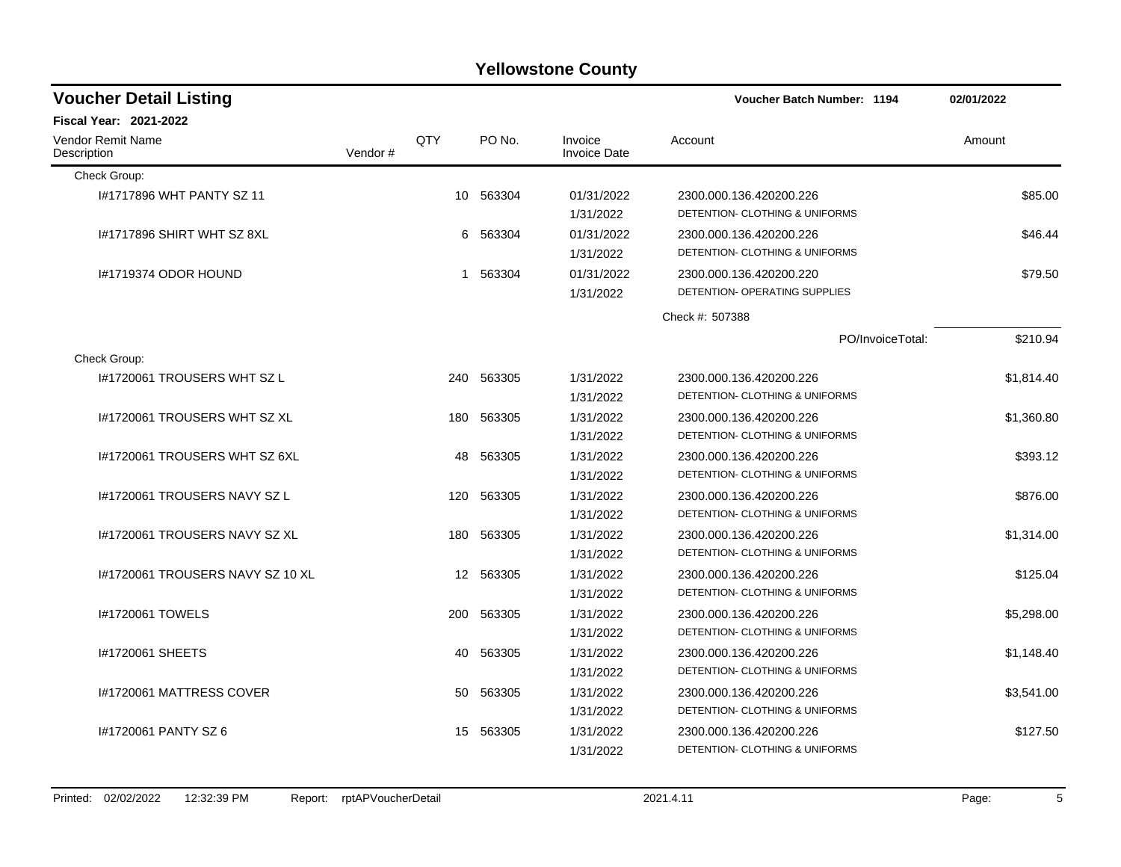| <b>Voucher Detail Listing</b>           |         |     |            |                                | Voucher Batch Number: 1194                | 02/01/2022 |
|-----------------------------------------|---------|-----|------------|--------------------------------|-------------------------------------------|------------|
| Fiscal Year: 2021-2022                  |         |     |            |                                |                                           |            |
| <b>Vendor Remit Name</b><br>Description | Vendor# | QTY | PO No.     | Invoice<br><b>Invoice Date</b> | Account                                   | Amount     |
| Check Group:                            |         |     |            |                                |                                           |            |
| 1#1717896 WHT PANTY SZ 11               |         |     | 10 563304  | 01/31/2022                     | 2300.000.136.420200.226                   | \$85.00    |
|                                         |         |     |            | 1/31/2022                      | DETENTION- CLOTHING & UNIFORMS            |            |
| 1#1717896 SHIRT WHT SZ 8XL              |         | 6   | 563304     | 01/31/2022                     | 2300.000.136.420200.226                   | \$46.44    |
|                                         |         |     |            | 1/31/2022                      | DETENTION- CLOTHING & UNIFORMS            |            |
| 1#1719374 ODOR HOUND                    |         | 1   | 563304     | 01/31/2022                     | 2300.000.136.420200.220                   | \$79.50    |
|                                         |         |     |            | 1/31/2022                      | DETENTION- OPERATING SUPPLIES             |            |
|                                         |         |     |            |                                | Check #: 507388                           |            |
|                                         |         |     |            |                                | PO/InvoiceTotal:                          | \$210.94   |
| Check Group:                            |         |     |            |                                |                                           |            |
| I#1720061 TROUSERS WHT SZ L             |         |     | 240 563305 | 1/31/2022                      | 2300.000.136.420200.226                   | \$1,814.40 |
|                                         |         |     |            | 1/31/2022                      | <b>DETENTION- CLOTHING &amp; UNIFORMS</b> |            |
| #1720061 TROUSERS WHT SZ XL             |         | 180 | 563305     | 1/31/2022                      | 2300.000.136.420200.226                   | \$1,360.80 |
|                                         |         |     |            | 1/31/2022                      | DETENTION- CLOTHING & UNIFORMS            |            |
| #1720061 TROUSERS WHT SZ 6XL            |         | 48  | 563305     | 1/31/2022                      | 2300.000.136.420200.226                   | \$393.12   |
|                                         |         |     |            | 1/31/2022                      | DETENTION- CLOTHING & UNIFORMS            |            |
| #1720061 TROUSERS NAVY SZ L             |         | 120 | 563305     | 1/31/2022                      | 2300.000.136.420200.226                   | \$876.00   |
|                                         |         |     |            | 1/31/2022                      | DETENTION- CLOTHING & UNIFORMS            |            |
| I#1720061 TROUSERS NAVY SZ XL           |         | 180 | 563305     | 1/31/2022                      | 2300.000.136.420200.226                   | \$1,314.00 |
|                                         |         |     |            | 1/31/2022                      | DETENTION- CLOTHING & UNIFORMS            |            |
| 1#1720061 TROUSERS NAVY SZ 10 XL        |         |     | 12 563305  | 1/31/2022                      | 2300.000.136.420200.226                   | \$125.04   |
|                                         |         |     |            | 1/31/2022                      | DETENTION- CLOTHING & UNIFORMS            |            |
| <b>I#1720061 TOWELS</b>                 |         | 200 | 563305     | 1/31/2022                      | 2300.000.136.420200.226                   | \$5,298.00 |
|                                         |         |     |            | 1/31/2022                      | DETENTION- CLOTHING & UNIFORMS            |            |
| #1720061 SHEETS                         |         | 40  | 563305     | 1/31/2022                      | 2300.000.136.420200.226                   | \$1,148.40 |
|                                         |         |     |            | 1/31/2022                      | DETENTION- CLOTHING & UNIFORMS            |            |
| I#1720061 MATTRESS COVER                |         | 50  | 563305     | 1/31/2022                      | 2300.000.136.420200.226                   | \$3,541.00 |
|                                         |         |     |            | 1/31/2022                      | DETENTION- CLOTHING & UNIFORMS            |            |
| #1720061 PANTY SZ 6                     |         | 15  | 563305     | 1/31/2022                      | 2300.000.136.420200.226                   | \$127.50   |
|                                         |         |     |            | 1/31/2022                      | DETENTION- CLOTHING & UNIFORMS            |            |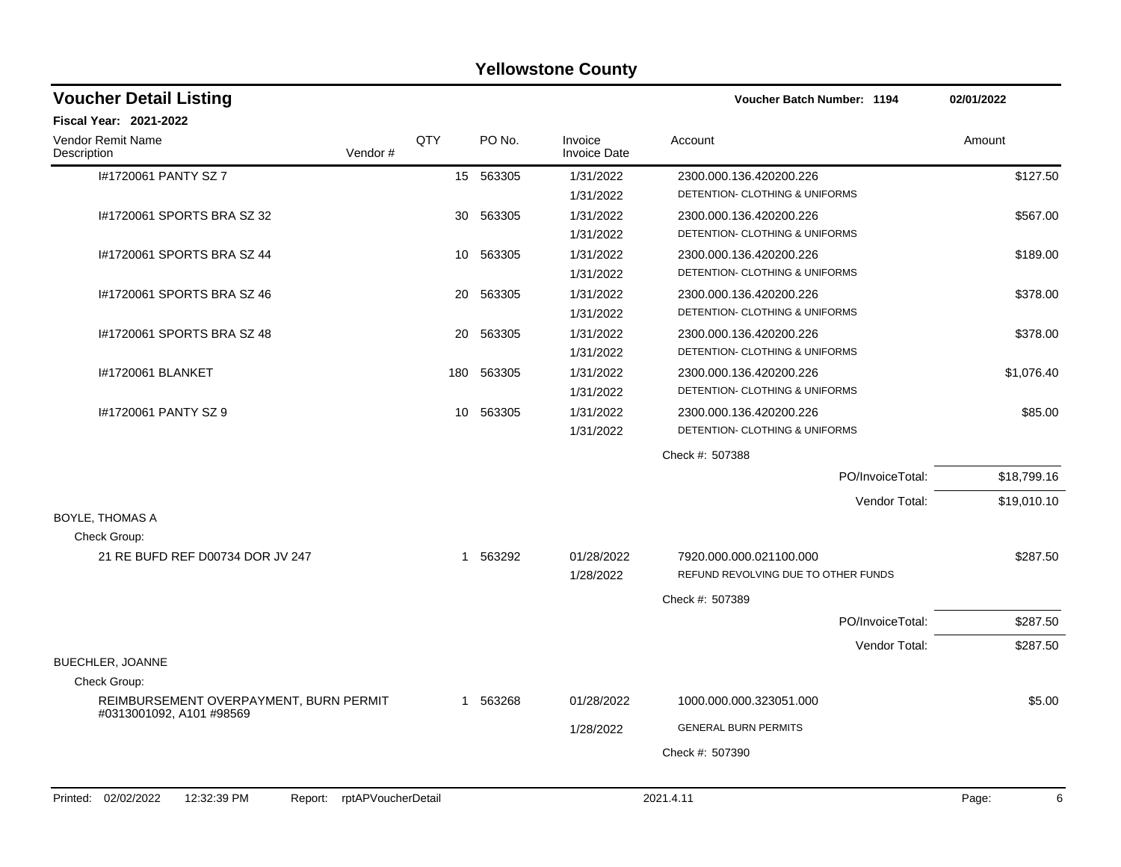|                                                                    |     |           | <b>Yellowstone County</b>      |                                                                |                  |             |
|--------------------------------------------------------------------|-----|-----------|--------------------------------|----------------------------------------------------------------|------------------|-------------|
| <b>Voucher Detail Listing</b>                                      |     |           |                                | Voucher Batch Number: 1194                                     |                  | 02/01/2022  |
| Fiscal Year: 2021-2022                                             |     |           |                                |                                                                |                  |             |
| Vendor Remit Name<br>Vendor#<br>Description                        | QTY | PO No.    | Invoice<br><b>Invoice Date</b> | Account                                                        |                  | Amount      |
| I#1720061 PANTY SZ 7                                               |     | 15 563305 | 1/31/2022                      | 2300.000.136.420200.226                                        |                  | \$127.50    |
|                                                                    |     |           | 1/31/2022                      | DETENTION- CLOTHING & UNIFORMS                                 |                  |             |
| 1#1720061 SPORTS BRA SZ 32                                         |     | 30 563305 | 1/31/2022                      | 2300.000.136.420200.226                                        |                  | \$567.00    |
|                                                                    |     |           | 1/31/2022                      | DETENTION- CLOTHING & UNIFORMS                                 |                  |             |
| 1#1720061 SPORTS BRA SZ 44                                         | 10  | 563305    | 1/31/2022                      | 2300.000.136.420200.226                                        |                  | \$189.00    |
|                                                                    |     |           | 1/31/2022                      | DETENTION- CLOTHING & UNIFORMS                                 |                  |             |
| 1#1720061 SPORTS BRA SZ 46                                         | 20  | 563305    | 1/31/2022                      | 2300.000.136.420200.226                                        |                  | \$378.00    |
|                                                                    |     |           | 1/31/2022                      | DETENTION- CLOTHING & UNIFORMS                                 |                  |             |
| I#1720061 SPORTS BRA SZ 48                                         | 20  | 563305    | 1/31/2022                      | 2300.000.136.420200.226                                        |                  | \$378.00    |
|                                                                    |     |           | 1/31/2022                      | DETENTION- CLOTHING & UNIFORMS                                 |                  |             |
| I#1720061 BLANKET                                                  | 180 | 563305    | 1/31/2022                      | 2300.000.136.420200.226                                        |                  | \$1,076.40  |
|                                                                    |     |           | 1/31/2022                      | DETENTION- CLOTHING & UNIFORMS                                 |                  |             |
| I#1720061 PANTY SZ 9                                               |     | 10 563305 | 1/31/2022                      | 2300.000.136.420200.226                                        |                  | \$85.00     |
|                                                                    |     |           | 1/31/2022                      | DETENTION- CLOTHING & UNIFORMS                                 |                  |             |
|                                                                    |     |           |                                | Check #: 507388                                                |                  |             |
|                                                                    |     |           |                                |                                                                | PO/InvoiceTotal: | \$18,799.16 |
|                                                                    |     |           |                                |                                                                | Vendor Total:    | \$19,010.10 |
| <b>BOYLE, THOMAS A</b>                                             |     |           |                                |                                                                |                  |             |
| Check Group:                                                       |     |           |                                |                                                                |                  |             |
| 21 RE BUFD REF D00734 DOR JV 247                                   |     | 1 563292  | 01/28/2022<br>1/28/2022        | 7920.000.000.021100.000<br>REFUND REVOLVING DUE TO OTHER FUNDS |                  | \$287.50    |
|                                                                    |     |           |                                | Check #: 507389                                                |                  |             |
|                                                                    |     |           |                                |                                                                | PO/InvoiceTotal: | \$287.50    |
|                                                                    |     |           |                                |                                                                | Vendor Total:    | \$287.50    |
| BUECHLER, JOANNE                                                   |     |           |                                |                                                                |                  |             |
| Check Group:                                                       |     |           |                                |                                                                |                  |             |
| REIMBURSEMENT OVERPAYMENT, BURN PERMIT<br>#0313001092, A101 #98569 |     | 1 563268  | 01/28/2022                     | 1000.000.000.323051.000                                        |                  | \$5.00      |
|                                                                    |     |           | 1/28/2022                      | <b>GENERAL BURN PERMITS</b>                                    |                  |             |
|                                                                    |     |           |                                | Check #: 507390                                                |                  |             |
|                                                                    |     |           |                                |                                                                |                  |             |
|                                                                    |     |           |                                |                                                                |                  |             |
| Printed: 02/02/2022<br>12:32:39 PM<br>Report: rptAPVoucherDetail   |     |           |                                | 2021.4.11                                                      |                  | Page:<br>6  |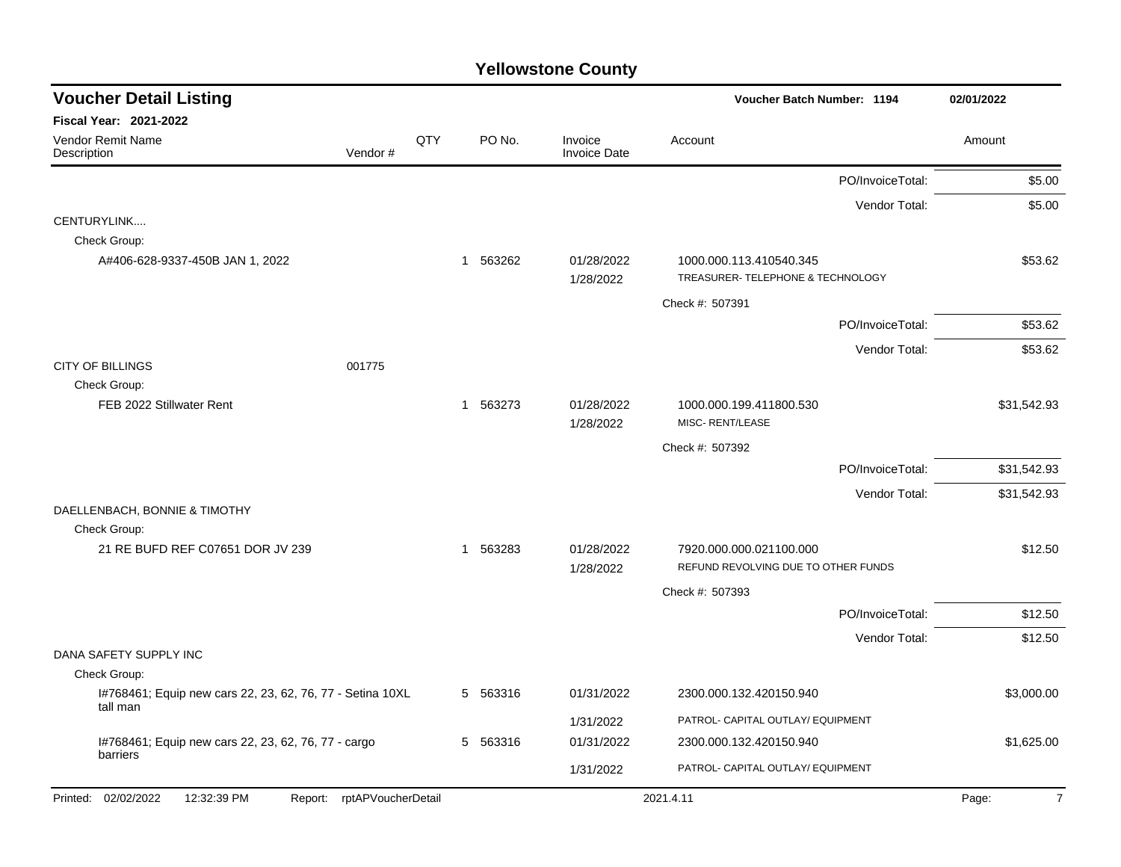| <b>Voucher Detail Listing</b>                                    |     |          |                                | <b>Voucher Batch Number: 1194</b>                              |                  | 02/01/2022              |
|------------------------------------------------------------------|-----|----------|--------------------------------|----------------------------------------------------------------|------------------|-------------------------|
| <b>Fiscal Year: 2021-2022</b>                                    |     |          |                                |                                                                |                  |                         |
| <b>Vendor Remit Name</b><br>Vendor#<br>Description               | QTY | PO No.   | Invoice<br><b>Invoice Date</b> | Account                                                        |                  | Amount                  |
|                                                                  |     |          |                                |                                                                | PO/InvoiceTotal: | \$5.00                  |
|                                                                  |     |          |                                |                                                                | Vendor Total:    | \$5.00                  |
| CENTURYLINK                                                      |     |          |                                |                                                                |                  |                         |
| Check Group:                                                     |     |          |                                |                                                                |                  |                         |
| A#406-628-9337-450B JAN 1, 2022                                  |     | 1 563262 | 01/28/2022<br>1/28/2022        | 1000.000.113.410540.345<br>TREASURER- TELEPHONE & TECHNOLOGY   |                  | \$53.62                 |
|                                                                  |     |          |                                |                                                                |                  |                         |
|                                                                  |     |          |                                | Check #: 507391                                                |                  |                         |
|                                                                  |     |          |                                |                                                                | PO/InvoiceTotal: | \$53.62                 |
| <b>CITY OF BILLINGS</b><br>001775                                |     |          |                                |                                                                | Vendor Total:    | \$53.62                 |
| Check Group:                                                     |     |          |                                |                                                                |                  |                         |
| FEB 2022 Stillwater Rent                                         |     | 1 563273 | 01/28/2022                     | 1000.000.199.411800.530                                        |                  | \$31,542.93             |
|                                                                  |     |          | 1/28/2022                      | MISC-RENT/LEASE                                                |                  |                         |
|                                                                  |     |          |                                | Check #: 507392                                                |                  |                         |
|                                                                  |     |          |                                |                                                                | PO/InvoiceTotal: | \$31,542.93             |
|                                                                  |     |          |                                |                                                                | Vendor Total:    | \$31,542.93             |
| DAELLENBACH, BONNIE & TIMOTHY                                    |     |          |                                |                                                                |                  |                         |
| Check Group:                                                     |     |          |                                |                                                                |                  |                         |
| 21 RE BUFD REF C07651 DOR JV 239                                 |     | 1 563283 | 01/28/2022                     | 7920.000.000.021100.000<br>REFUND REVOLVING DUE TO OTHER FUNDS |                  | \$12.50                 |
|                                                                  |     |          | 1/28/2022                      |                                                                |                  |                         |
|                                                                  |     |          |                                | Check #: 507393                                                |                  |                         |
|                                                                  |     |          |                                |                                                                | PO/InvoiceTotal: | \$12.50                 |
| DANA SAFETY SUPPLY INC                                           |     |          |                                |                                                                | Vendor Total:    | \$12.50                 |
| Check Group:                                                     |     |          |                                |                                                                |                  |                         |
| I#768461; Equip new cars 22, 23, 62, 76, 77 - Setina 10XL        |     | 5 563316 | 01/31/2022                     | 2300.000.132.420150.940                                        |                  | \$3,000.00              |
| tall man                                                         |     |          | 1/31/2022                      | PATROL- CAPITAL OUTLAY/ EQUIPMENT                              |                  |                         |
| I#768461; Equip new cars 22, 23, 62, 76, 77 - cargo              |     | 5 563316 | 01/31/2022                     | 2300.000.132.420150.940                                        |                  | \$1,625.00              |
| barriers                                                         |     |          |                                |                                                                |                  |                         |
|                                                                  |     |          | 1/31/2022                      | PATROL- CAPITAL OUTLAY/ EQUIPMENT                              |                  |                         |
| Printed: 02/02/2022<br>12:32:39 PM<br>Report: rptAPVoucherDetail |     |          |                                | 2021.4.11                                                      |                  | Page:<br>$\overline{7}$ |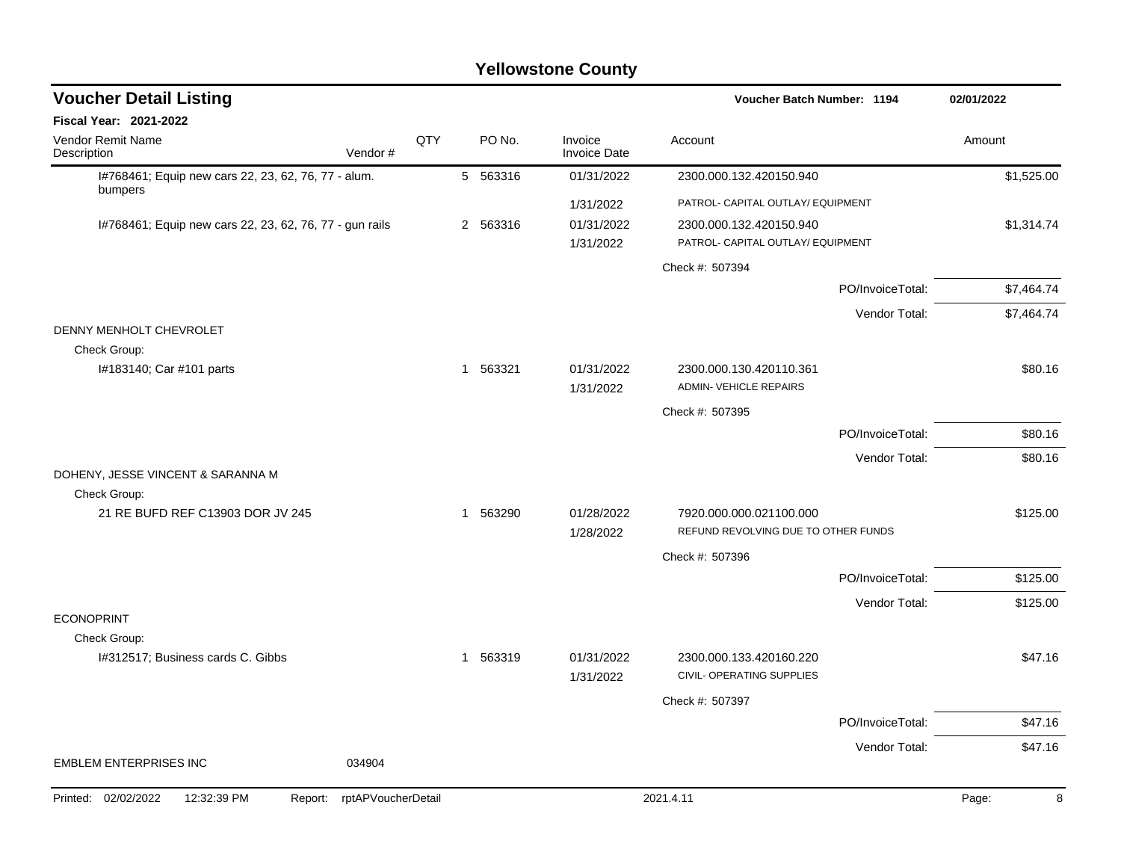| <b>Voucher Detail Listing</b>                                  |                    |          |                                | Voucher Batch Number: 1194                                   | 02/01/2022 |
|----------------------------------------------------------------|--------------------|----------|--------------------------------|--------------------------------------------------------------|------------|
| Fiscal Year: 2021-2022                                         |                    |          |                                |                                                              |            |
| Vendor Remit Name<br>Description                               | QTY<br>Vendor#     | PO No.   | Invoice<br><b>Invoice Date</b> | Account                                                      | Amount     |
| I#768461; Equip new cars 22, 23, 62, 76, 77 - alum.<br>bumpers |                    | 5 563316 | 01/31/2022                     | 2300.000.132.420150.940                                      | \$1,525.00 |
|                                                                |                    |          | 1/31/2022                      | PATROL- CAPITAL OUTLAY/ EQUIPMENT                            |            |
| I#768461; Equip new cars 22, 23, 62, 76, 77 - gun rails        |                    | 2 563316 | 01/31/2022<br>1/31/2022        | 2300.000.132.420150.940<br>PATROL- CAPITAL OUTLAY/ EQUIPMENT | \$1,314.74 |
|                                                                |                    |          |                                | Check #: 507394                                              |            |
|                                                                |                    |          |                                | PO/InvoiceTotal:                                             | \$7,464.74 |
| DENNY MENHOLT CHEVROLET                                        |                    |          |                                | Vendor Total:                                                | \$7,464.74 |
| Check Group:                                                   |                    |          |                                |                                                              |            |
| I#183140; Car #101 parts                                       |                    | 1 563321 | 01/31/2022<br>1/31/2022        | 2300.000.130.420110.361<br><b>ADMIN- VEHICLE REPAIRS</b>     | \$80.16    |
|                                                                |                    |          |                                | Check #: 507395                                              |            |
|                                                                |                    |          |                                | PO/InvoiceTotal:                                             | \$80.16    |
|                                                                |                    |          |                                | Vendor Total:                                                | \$80.16    |
| DOHENY, JESSE VINCENT & SARANNA M<br>Check Group:              |                    |          |                                |                                                              |            |
| 21 RE BUFD REF C13903 DOR JV 245                               |                    | 1 563290 | 01/28/2022                     | 7920.000.000.021100.000                                      | \$125.00   |
|                                                                |                    |          | 1/28/2022                      | REFUND REVOLVING DUE TO OTHER FUNDS                          |            |
|                                                                |                    |          |                                | Check #: 507396                                              |            |
|                                                                |                    |          |                                | PO/InvoiceTotal:                                             | \$125.00   |
|                                                                |                    |          |                                | Vendor Total:                                                | \$125.00   |
| <b>ECONOPRINT</b>                                              |                    |          |                                |                                                              |            |
| Check Group:<br>I#312517; Business cards C. Gibbs              |                    | 1 563319 | 01/31/2022                     | 2300.000.133.420160.220                                      | \$47.16    |
|                                                                |                    |          | 1/31/2022                      | CIVIL- OPERATING SUPPLIES                                    |            |
|                                                                |                    |          |                                | Check #: 507397                                              |            |
|                                                                |                    |          |                                | PO/InvoiceTotal:                                             | \$47.16    |
|                                                                |                    |          |                                | Vendor Total:                                                | \$47.16    |
| <b>EMBLEM ENTERPRISES INC</b>                                  | 034904             |          |                                |                                                              |            |
| Printed: 02/02/2022<br>12:32:39 PM<br>Report:                  | rptAPVoucherDetail |          |                                | 2021.4.11                                                    | 8<br>Page: |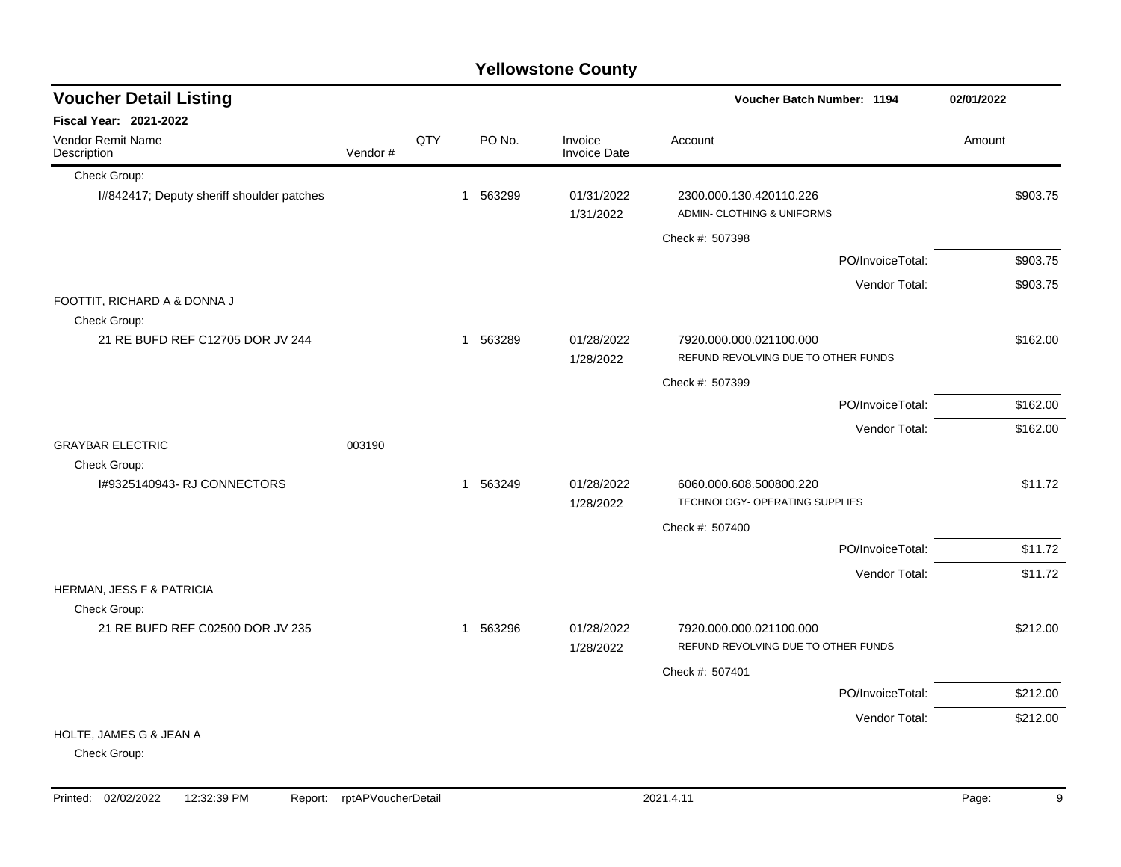| <b>Yellowstone County</b>                    |         |     |  |          |                                |                                                                  |            |  |  |
|----------------------------------------------|---------|-----|--|----------|--------------------------------|------------------------------------------------------------------|------------|--|--|
| <b>Voucher Detail Listing</b>                |         |     |  |          |                                | Voucher Batch Number: 1194                                       | 02/01/2022 |  |  |
| <b>Fiscal Year: 2021-2022</b>                |         |     |  |          |                                |                                                                  |            |  |  |
| Vendor Remit Name<br>Description             | Vendor# | QTY |  | PO No.   | Invoice<br><b>Invoice Date</b> | Account                                                          | Amount     |  |  |
| Check Group:                                 |         |     |  |          |                                |                                                                  |            |  |  |
| I#842417; Deputy sheriff shoulder patches    |         |     |  | 1 563299 | 01/31/2022<br>1/31/2022        | 2300.000.130.420110.226<br>ADMIN- CLOTHING & UNIFORMS            | \$903.75   |  |  |
|                                              |         |     |  |          |                                | Check #: 507398                                                  |            |  |  |
|                                              |         |     |  |          |                                | PO/InvoiceTotal:                                                 | \$903.75   |  |  |
|                                              |         |     |  |          |                                | Vendor Total:                                                    | \$903.75   |  |  |
| FOOTTIT, RICHARD A & DONNA J<br>Check Group: |         |     |  |          |                                |                                                                  |            |  |  |
| 21 RE BUFD REF C12705 DOR JV 244             |         |     |  | 1 563289 | 01/28/2022<br>1/28/2022        | 7920.000.000.021100.000<br>REFUND REVOLVING DUE TO OTHER FUNDS   | \$162.00   |  |  |
|                                              |         |     |  |          |                                | Check #: 507399                                                  |            |  |  |
|                                              |         |     |  |          |                                | PO/InvoiceTotal:                                                 | \$162.00   |  |  |
|                                              |         |     |  |          |                                | Vendor Total:                                                    | \$162.00   |  |  |
| <b>GRAYBAR ELECTRIC</b><br>Check Group:      | 003190  |     |  |          |                                |                                                                  |            |  |  |
| I#9325140943- RJ CONNECTORS                  |         |     |  | 1 563249 | 01/28/2022<br>1/28/2022        | 6060.000.608.500800.220<br><b>TECHNOLOGY- OPERATING SUPPLIES</b> | \$11.72    |  |  |
|                                              |         |     |  |          |                                | Check #: 507400                                                  |            |  |  |
|                                              |         |     |  |          |                                | PO/InvoiceTotal:                                                 | \$11.72    |  |  |
|                                              |         |     |  |          |                                | Vendor Total:                                                    | \$11.72    |  |  |
| HERMAN, JESS F & PATRICIA<br>Check Group:    |         |     |  |          |                                |                                                                  |            |  |  |
| 21 RE BUFD REF C02500 DOR JV 235             |         |     |  | 1 563296 | 01/28/2022<br>1/28/2022        | 7920.000.000.021100.000<br>REFUND REVOLVING DUE TO OTHER FUNDS   | \$212.00   |  |  |
|                                              |         |     |  |          |                                | Check #: 507401                                                  |            |  |  |
|                                              |         |     |  |          |                                | PO/InvoiceTotal:                                                 | \$212.00   |  |  |
|                                              |         |     |  |          |                                | Vendor Total:                                                    | \$212.00   |  |  |
| HOLTE, JAMES G & JEAN A<br>Check Group:      |         |     |  |          |                                |                                                                  |            |  |  |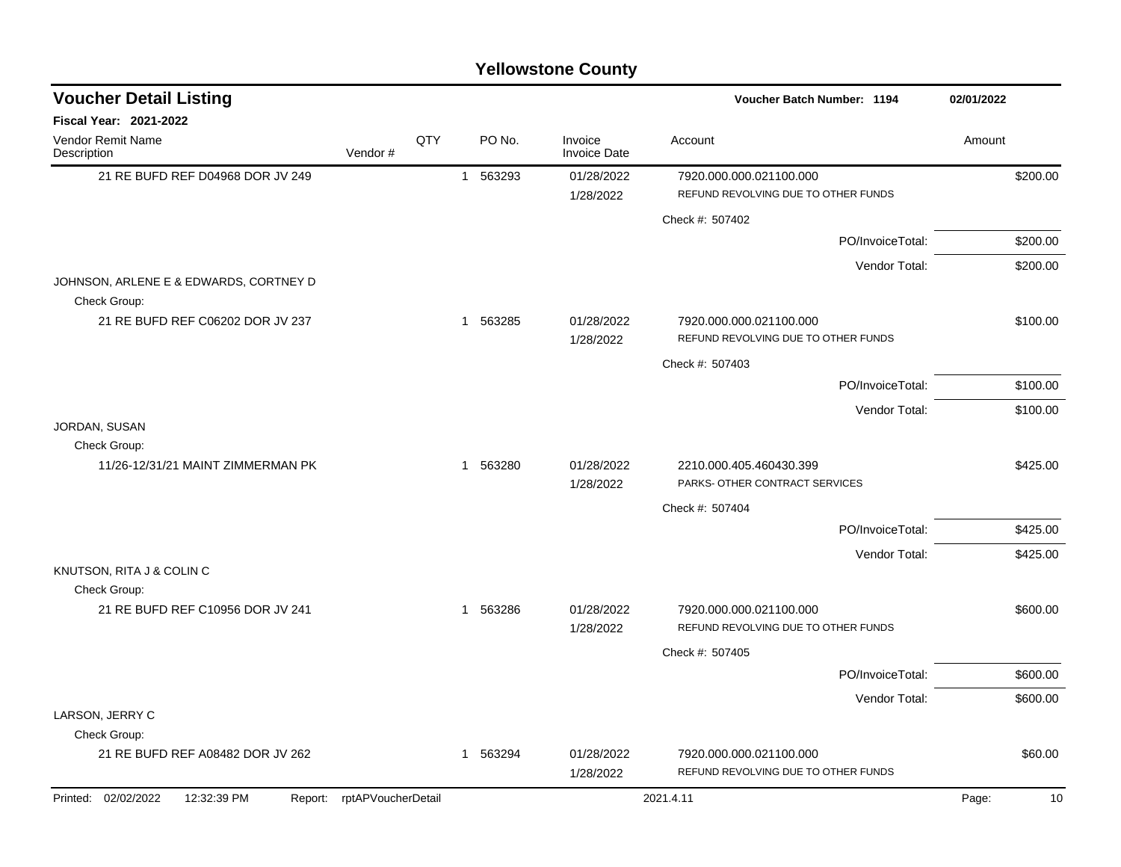|                                                        | <b>Yellowstone County</b> |     |          |                         |                                                                |             |  |  |  |  |
|--------------------------------------------------------|---------------------------|-----|----------|-------------------------|----------------------------------------------------------------|-------------|--|--|--|--|
| <b>Voucher Detail Listing</b>                          |                           |     |          |                         | <b>Voucher Batch Number: 1194</b>                              | 02/01/2022  |  |  |  |  |
| Fiscal Year: 2021-2022                                 |                           |     |          |                         |                                                                |             |  |  |  |  |
| Vendor Remit Name<br>Description                       | Vendor#                   | QTY | PO No.   | Invoice<br>Invoice Date | Account                                                        | Amount      |  |  |  |  |
| 21 RE BUFD REF D04968 DOR JV 249                       |                           |     | 1 563293 | 01/28/2022<br>1/28/2022 | 7920.000.000.021100.000<br>REFUND REVOLVING DUE TO OTHER FUNDS | \$200.00    |  |  |  |  |
|                                                        |                           |     |          |                         | Check #: 507402                                                |             |  |  |  |  |
|                                                        |                           |     |          |                         | PO/InvoiceTotal:                                               | \$200.00    |  |  |  |  |
|                                                        |                           |     |          |                         | Vendor Total:                                                  | \$200.00    |  |  |  |  |
| JOHNSON, ARLENE E & EDWARDS, CORTNEY D<br>Check Group: |                           |     |          |                         |                                                                |             |  |  |  |  |
| 21 RE BUFD REF C06202 DOR JV 237                       |                           |     | 1 563285 | 01/28/2022<br>1/28/2022 | 7920.000.000.021100.000<br>REFUND REVOLVING DUE TO OTHER FUNDS | \$100.00    |  |  |  |  |
|                                                        |                           |     |          |                         | Check #: 507403                                                |             |  |  |  |  |
|                                                        |                           |     |          |                         | PO/InvoiceTotal:                                               | \$100.00    |  |  |  |  |
|                                                        |                           |     |          |                         | Vendor Total:                                                  | \$100.00    |  |  |  |  |
| JORDAN, SUSAN                                          |                           |     |          |                         |                                                                |             |  |  |  |  |
| Check Group:<br>11/26-12/31/21 MAINT ZIMMERMAN PK      |                           |     | 1 563280 | 01/28/2022<br>1/28/2022 | 2210.000.405.460430.399<br>PARKS- OTHER CONTRACT SERVICES      | \$425.00    |  |  |  |  |
|                                                        |                           |     |          |                         | Check #: 507404                                                |             |  |  |  |  |
|                                                        |                           |     |          |                         | PO/InvoiceTotal:                                               | \$425.00    |  |  |  |  |
|                                                        |                           |     |          |                         | Vendor Total:                                                  | \$425.00    |  |  |  |  |
| KNUTSON, RITA J & COLIN C<br>Check Group:              |                           |     |          |                         |                                                                |             |  |  |  |  |
| 21 RE BUFD REF C10956 DOR JV 241                       |                           |     | 1 563286 | 01/28/2022              | 7920.000.000.021100.000                                        | \$600.00    |  |  |  |  |
|                                                        |                           |     |          | 1/28/2022               | REFUND REVOLVING DUE TO OTHER FUNDS                            |             |  |  |  |  |
|                                                        |                           |     |          |                         | Check #: 507405                                                |             |  |  |  |  |
|                                                        |                           |     |          |                         | PO/InvoiceTotal:                                               | \$600.00    |  |  |  |  |
|                                                        |                           |     |          |                         | Vendor Total:                                                  | \$600.00    |  |  |  |  |
| LARSON, JERRY C<br>Check Group:                        |                           |     |          |                         |                                                                |             |  |  |  |  |
| 21 RE BUFD REF A08482 DOR JV 262                       |                           |     | 1 563294 | 01/28/2022<br>1/28/2022 | 7920.000.000.021100.000<br>REFUND REVOLVING DUE TO OTHER FUNDS | \$60.00     |  |  |  |  |
| Printed: 02/02/2022<br>12:32:39 PM<br>Report:          | rptAPVoucherDetail        |     |          |                         | 2021.4.11                                                      | Page:<br>10 |  |  |  |  |
|                                                        |                           |     |          |                         |                                                                |             |  |  |  |  |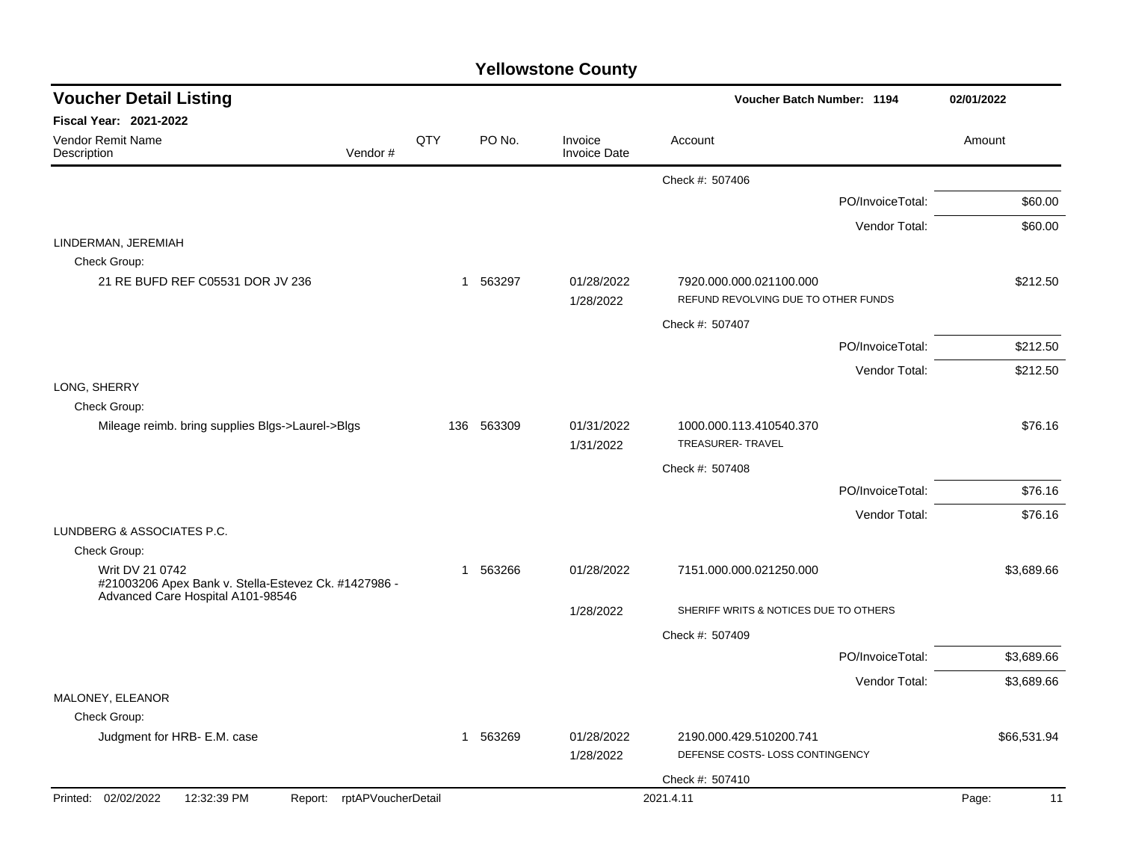| <b>Voucher Detail Listing</b>                                                                                |     |          |                                | Voucher Batch Number: 1194                                     | 02/01/2022  |
|--------------------------------------------------------------------------------------------------------------|-----|----------|--------------------------------|----------------------------------------------------------------|-------------|
| <b>Fiscal Year: 2021-2022</b>                                                                                |     |          |                                |                                                                |             |
| <b>Vendor Remit Name</b><br>Vendor#<br>Description                                                           | QTY | PO No.   | Invoice<br><b>Invoice Date</b> | Account                                                        | Amount      |
|                                                                                                              |     |          |                                | Check #: 507406                                                |             |
|                                                                                                              |     |          |                                | PO/InvoiceTotal:                                               | \$60.00     |
|                                                                                                              |     |          |                                | Vendor Total:                                                  | \$60.00     |
| LINDERMAN, JEREMIAH                                                                                          |     |          |                                |                                                                |             |
| Check Group:                                                                                                 |     |          |                                |                                                                |             |
| 21 RE BUFD REF C05531 DOR JV 236                                                                             | 1   | 563297   | 01/28/2022<br>1/28/2022        | 7920.000.000.021100.000<br>REFUND REVOLVING DUE TO OTHER FUNDS | \$212.50    |
|                                                                                                              |     |          |                                | Check #: 507407                                                |             |
|                                                                                                              |     |          |                                | PO/InvoiceTotal:                                               | \$212.50    |
|                                                                                                              |     |          |                                | Vendor Total:                                                  | \$212.50    |
| LONG, SHERRY                                                                                                 |     |          |                                |                                                                |             |
| Check Group:<br>Mileage reimb. bring supplies Blgs->Laurel->Blgs                                             | 136 | 563309   | 01/31/2022                     | 1000.000.113.410540.370                                        | \$76.16     |
|                                                                                                              |     |          | 1/31/2022                      | TREASURER-TRAVEL                                               |             |
|                                                                                                              |     |          |                                | Check #: 507408                                                |             |
|                                                                                                              |     |          |                                | PO/InvoiceTotal:                                               | \$76.16     |
|                                                                                                              |     |          |                                | Vendor Total:                                                  | \$76.16     |
| LUNDBERG & ASSOCIATES P.C.                                                                                   |     |          |                                |                                                                |             |
| Check Group:                                                                                                 |     |          |                                |                                                                |             |
| Writ DV 21 0742<br>#21003206 Apex Bank v. Stella-Estevez Ck. #1427986 -<br>Advanced Care Hospital A101-98546 | 1   | 563266   | 01/28/2022                     | 7151.000.000.021250.000                                        | \$3,689.66  |
|                                                                                                              |     |          | 1/28/2022                      | SHERIFF WRITS & NOTICES DUE TO OTHERS                          |             |
|                                                                                                              |     |          |                                | Check #: 507409                                                |             |
|                                                                                                              |     |          |                                | PO/InvoiceTotal:                                               | \$3,689.66  |
|                                                                                                              |     |          |                                | Vendor Total:                                                  | \$3,689.66  |
| MALONEY, ELEANOR                                                                                             |     |          |                                |                                                                |             |
| Check Group:                                                                                                 |     |          |                                |                                                                |             |
| Judgment for HRB- E.M. case                                                                                  |     | 1 563269 | 01/28/2022<br>1/28/2022        | 2190.000.429.510200.741<br>DEFENSE COSTS-LOSS CONTINGENCY      | \$66,531.94 |
|                                                                                                              |     |          |                                | Check #: 507410                                                |             |
| Printed: 02/02/2022<br>12:32:39 PM<br>Report: rptAPVoucherDetail                                             |     |          |                                | 2021.4.11                                                      | Page:<br>11 |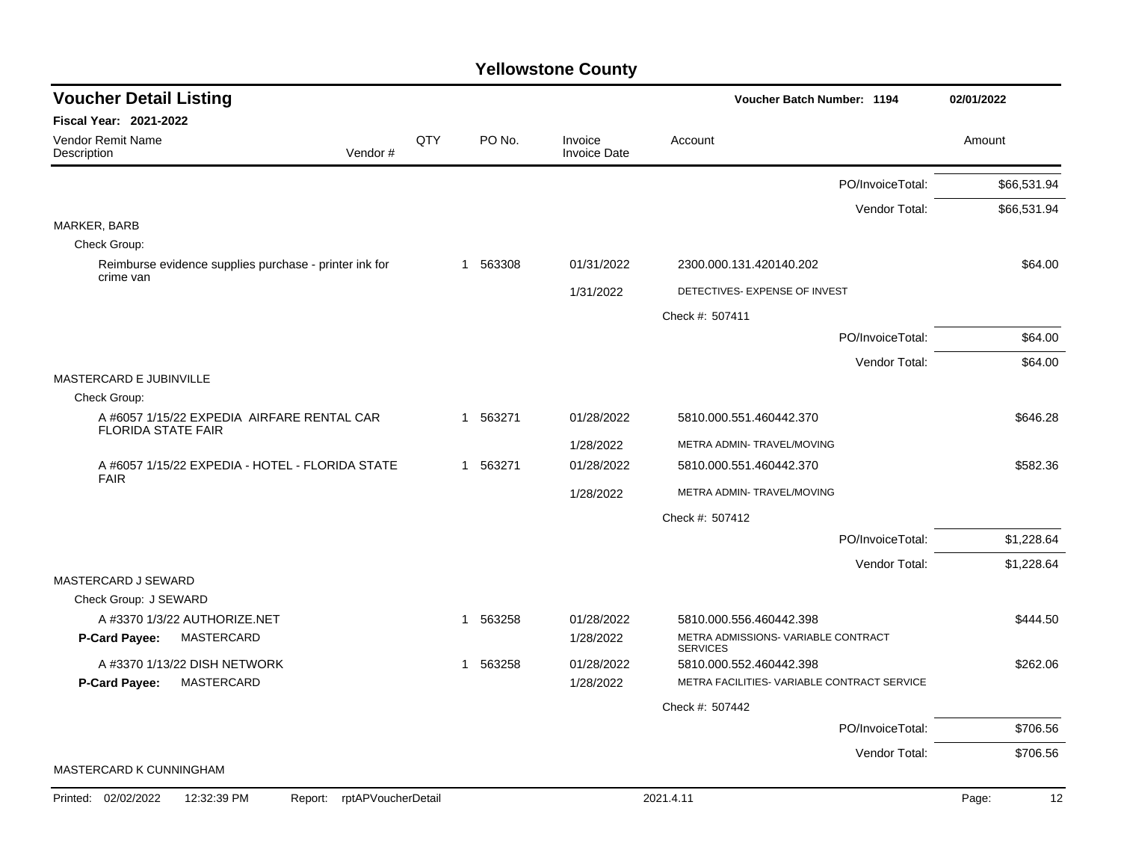| <b>Voucher Detail Listing</b>                                           |     |                        |                                | Voucher Batch Number: 1194                             | 02/01/2022  |
|-------------------------------------------------------------------------|-----|------------------------|--------------------------------|--------------------------------------------------------|-------------|
| Fiscal Year: 2021-2022                                                  |     |                        |                                |                                                        |             |
| Vendor Remit Name<br>Description<br>Vendor#                             | QTY | PO No.                 | Invoice<br><b>Invoice Date</b> | Account                                                | Amount      |
|                                                                         |     |                        |                                | PO/InvoiceTotal:                                       | \$66,531.94 |
|                                                                         |     |                        |                                | Vendor Total:                                          | \$66,531.94 |
| MARKER, BARB                                                            |     |                        |                                |                                                        |             |
| Check Group:                                                            |     |                        |                                |                                                        |             |
| Reimburse evidence supplies purchase - printer ink for<br>crime van     |     | 563308<br>$\mathbf{1}$ | 01/31/2022                     | 2300.000.131.420140.202                                | \$64.00     |
|                                                                         |     |                        | 1/31/2022                      | DETECTIVES- EXPENSE OF INVEST                          |             |
|                                                                         |     |                        |                                | Check #: 507411                                        |             |
|                                                                         |     |                        |                                | PO/InvoiceTotal:                                       | \$64.00     |
|                                                                         |     |                        |                                | Vendor Total:                                          | \$64.00     |
| MASTERCARD E JUBINVILLE                                                 |     |                        |                                |                                                        |             |
| Check Group:                                                            |     |                        |                                |                                                        |             |
| A #6057 1/15/22 EXPEDIA AIRFARE RENTAL CAR<br><b>FLORIDA STATE FAIR</b> |     | 1 563271               | 01/28/2022                     | 5810.000.551.460442.370                                | \$646.28    |
|                                                                         |     |                        | 1/28/2022                      | METRA ADMIN- TRAVEL/MOVING                             |             |
| A #6057 1/15/22 EXPEDIA - HOTEL - FLORIDA STATE<br><b>FAIR</b>          |     | 1 563271               | 01/28/2022                     | 5810.000.551.460442.370                                | \$582.36    |
|                                                                         |     |                        | 1/28/2022                      | METRA ADMIN- TRAVEL/MOVING                             |             |
|                                                                         |     |                        |                                | Check #: 507412                                        |             |
|                                                                         |     |                        |                                | PO/InvoiceTotal:                                       | \$1,228.64  |
|                                                                         |     |                        |                                | Vendor Total:                                          | \$1,228.64  |
| MASTERCARD J SEWARD                                                     |     |                        |                                |                                                        |             |
| Check Group: J SEWARD                                                   |     |                        |                                |                                                        |             |
| A #3370 1/3/22 AUTHORIZE.NET                                            |     | 563258<br>1            | 01/28/2022                     | 5810.000.556.460442.398                                | \$444.50    |
| MASTERCARD<br>P-Card Payee:                                             |     |                        | 1/28/2022                      | METRA ADMISSIONS- VARIABLE CONTRACT<br><b>SERVICES</b> |             |
| A #3370 1/13/22 DISH NETWORK                                            |     | 563258<br>1            | 01/28/2022                     | 5810.000.552.460442.398                                | \$262.06    |
| P-Card Payee:<br>MASTERCARD                                             |     |                        | 1/28/2022                      | METRA FACILITIES- VARIABLE CONTRACT SERVICE            |             |
|                                                                         |     |                        |                                | Check #: 507442                                        |             |
|                                                                         |     |                        |                                | PO/InvoiceTotal:                                       | \$706.56    |
|                                                                         |     |                        |                                | Vendor Total:                                          | \$706.56    |
| MASTERCARD K CUNNINGHAM                                                 |     |                        |                                |                                                        |             |
| Printed: 02/02/2022<br>12:32:39 PM<br>rptAPVoucherDetail<br>Report:     |     |                        |                                | 2021.4.11                                              | 12<br>Page: |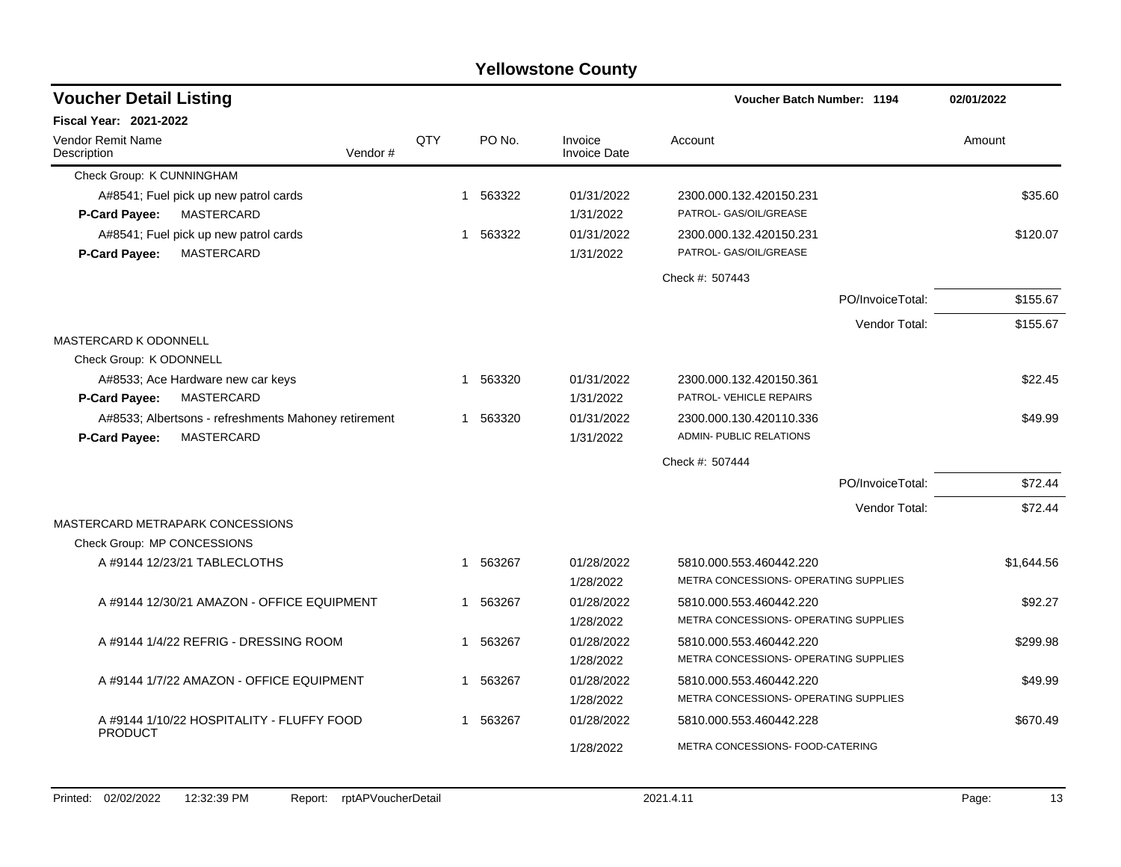| <b>Voucher Detail Listing</b>                               |          |     |             |          |                                | Voucher Batch Number: 1194            |                  | 02/01/2022 |
|-------------------------------------------------------------|----------|-----|-------------|----------|--------------------------------|---------------------------------------|------------------|------------|
| <b>Fiscal Year: 2021-2022</b>                               |          |     |             |          |                                |                                       |                  |            |
| <b>Vendor Remit Name</b><br>Description                     | Vendor # | QTY |             | PO No.   | Invoice<br><b>Invoice Date</b> | Account                               |                  | Amount     |
| Check Group: K CUNNINGHAM                                   |          |     |             |          |                                |                                       |                  |            |
| A#8541; Fuel pick up new patrol cards                       |          |     | $\mathbf 1$ | 563322   | 01/31/2022                     | 2300.000.132.420150.231               |                  | \$35.60    |
| MASTERCARD<br><b>P-Card Payee:</b>                          |          |     |             |          | 1/31/2022                      | PATROL- GAS/OIL/GREASE                |                  |            |
| A#8541; Fuel pick up new patrol cards                       |          |     |             | 1 563322 | 01/31/2022                     | 2300.000.132.420150.231               |                  | \$120.07   |
| MASTERCARD<br><b>P-Card Payee:</b>                          |          |     |             |          | 1/31/2022                      | PATROL- GAS/OIL/GREASE                |                  |            |
|                                                             |          |     |             |          |                                | Check #: 507443                       |                  |            |
|                                                             |          |     |             |          |                                |                                       | PO/InvoiceTotal: | \$155.67   |
|                                                             |          |     |             |          |                                |                                       | Vendor Total:    | \$155.67   |
| <b>MASTERCARD K ODONNELL</b>                                |          |     |             |          |                                |                                       |                  |            |
| Check Group: K ODONNELL                                     |          |     |             |          |                                |                                       |                  |            |
| A#8533; Ace Hardware new car keys                           |          |     | $\mathbf 1$ | 563320   | 01/31/2022                     | 2300.000.132.420150.361               |                  | \$22.45    |
| <b>MASTERCARD</b><br>P-Card Payee:                          |          |     |             |          | 1/31/2022                      | PATROL- VEHICLE REPAIRS               |                  |            |
| A#8533; Albertsons - refreshments Mahoney retirement        |          |     |             | 1 563320 | 01/31/2022                     | 2300.000.130.420110.336               |                  | \$49.99    |
| MASTERCARD<br>P-Card Payee:                                 |          |     |             |          | 1/31/2022                      | <b>ADMIN- PUBLIC RELATIONS</b>        |                  |            |
|                                                             |          |     |             |          |                                | Check #: 507444                       |                  |            |
|                                                             |          |     |             |          |                                |                                       | PO/InvoiceTotal: | \$72.44    |
|                                                             |          |     |             |          |                                |                                       | Vendor Total:    | \$72.44    |
| MASTERCARD METRAPARK CONCESSIONS                            |          |     |             |          |                                |                                       |                  |            |
| Check Group: MP CONCESSIONS                                 |          |     |             |          |                                |                                       |                  |            |
| A #9144 12/23/21 TABLECLOTHS                                |          |     |             | 1 563267 | 01/28/2022                     | 5810.000.553.460442.220               |                  | \$1,644.56 |
|                                                             |          |     |             |          | 1/28/2022                      | METRA CONCESSIONS- OPERATING SUPPLIES |                  |            |
| A #9144 12/30/21 AMAZON - OFFICE EQUIPMENT                  |          |     | -1          | 563267   | 01/28/2022                     | 5810.000.553.460442.220               |                  | \$92.27    |
|                                                             |          |     |             |          | 1/28/2022                      | METRA CONCESSIONS- OPERATING SUPPLIES |                  |            |
| A #9144 1/4/22 REFRIG - DRESSING ROOM                       |          |     | $\mathbf 1$ | 563267   | 01/28/2022                     | 5810.000.553.460442.220               |                  | \$299.98   |
|                                                             |          |     |             |          | 1/28/2022                      | METRA CONCESSIONS- OPERATING SUPPLIES |                  |            |
| A #9144 1/7/22 AMAZON - OFFICE EQUIPMENT                    |          |     | $\mathbf 1$ | 563267   | 01/28/2022                     | 5810.000.553.460442.220               |                  | \$49.99    |
|                                                             |          |     |             |          | 1/28/2022                      | METRA CONCESSIONS- OPERATING SUPPLIES |                  |            |
| A #9144 1/10/22 HOSPITALITY - FLUFFY FOOD<br><b>PRODUCT</b> |          |     | 1           | 563267   | 01/28/2022                     | 5810.000.553.460442.228               |                  | \$670.49   |
|                                                             |          |     |             |          | 1/28/2022                      | METRA CONCESSIONS- FOOD-CATERING      |                  |            |
|                                                             |          |     |             |          |                                |                                       |                  |            |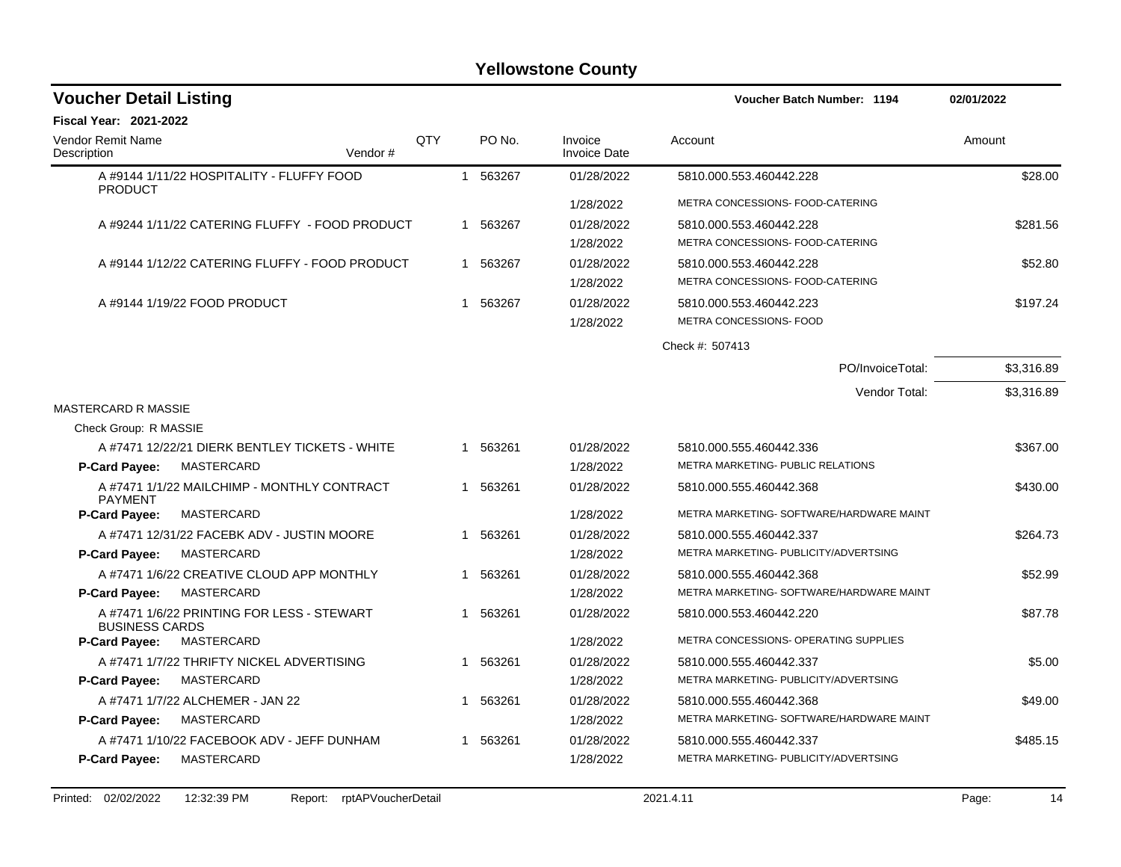| <b>Voucher Detail Listing</b>                                       |         |            |              |          |                                | <b>Voucher Batch Number: 1194</b>        | 02/01/2022 |
|---------------------------------------------------------------------|---------|------------|--------------|----------|--------------------------------|------------------------------------------|------------|
| <b>Fiscal Year: 2021-2022</b>                                       |         |            |              |          |                                |                                          |            |
| <b>Vendor Remit Name</b><br>Description                             | Vendor# | <b>OTY</b> |              | PO No.   | Invoice<br><b>Invoice Date</b> | Account                                  | Amount     |
| A #9144 1/11/22 HOSPITALITY - FLUFFY FOOD<br><b>PRODUCT</b>         |         |            | $\mathbf{1}$ | 563267   | 01/28/2022                     | 5810.000.553.460442.228                  | \$28.00    |
|                                                                     |         |            |              |          | 1/28/2022                      | METRA CONCESSIONS- FOOD-CATERING         |            |
| A #9244 1/11/22 CATERING FLUFFY - FOOD PRODUCT                      |         |            | -1           | 563267   | 01/28/2022                     | 5810.000.553.460442.228                  | \$281.56   |
|                                                                     |         |            |              |          | 1/28/2022                      | METRA CONCESSIONS- FOOD-CATERING         |            |
| A #9144 1/12/22 CATERING FLUFFY - FOOD PRODUCT                      |         |            |              | 1 563267 | 01/28/2022                     | 5810.000.553.460442.228                  | \$52.80    |
|                                                                     |         |            |              |          | 1/28/2022                      | METRA CONCESSIONS- FOOD-CATERING         |            |
| A #9144 1/19/22 FOOD PRODUCT                                        |         |            | 1            | 563267   | 01/28/2022                     | 5810.000.553.460442.223                  | \$197.24   |
|                                                                     |         |            |              |          | 1/28/2022                      | METRA CONCESSIONS- FOOD                  |            |
|                                                                     |         |            |              |          |                                | Check #: 507413                          |            |
|                                                                     |         |            |              |          |                                | PO/InvoiceTotal:                         | \$3,316.89 |
|                                                                     |         |            |              |          |                                | Vendor Total:                            | \$3,316.89 |
| <b>MASTERCARD R MASSIE</b>                                          |         |            |              |          |                                |                                          |            |
| Check Group: R MASSIE                                               |         |            |              |          |                                |                                          |            |
| A #7471 12/22/21 DIERK BENTLEY TICKETS - WHITE                      |         |            | $\mathbf 1$  | 563261   | 01/28/2022                     | 5810.000.555.460442.336                  | \$367.00   |
| <b>P-Card Payee:</b><br>MASTERCARD                                  |         |            |              |          | 1/28/2022                      | METRA MARKETING- PUBLIC RELATIONS        |            |
| A #7471 1/1/22 MAILCHIMP - MONTHLY CONTRACT<br><b>PAYMENT</b>       |         |            | 1            | 563261   | 01/28/2022                     | 5810.000.555.460442.368                  | \$430.00   |
| MASTERCARD<br>P-Card Payee:                                         |         |            |              |          | 1/28/2022                      | METRA MARKETING- SOFTWARE/HARDWARE MAINT |            |
| A #7471 12/31/22 FACEBK ADV - JUSTIN MOORE                          |         |            | 1            | 563261   | 01/28/2022                     | 5810.000.555.460442.337                  | \$264.73   |
| <b>P-Card Payee:</b><br>MASTERCARD                                  |         |            |              |          | 1/28/2022                      | METRA MARKETING- PUBLICITY/ADVERTSING    |            |
| A #7471 1/6/22 CREATIVE CLOUD APP MONTHLY                           |         |            | 1            | 563261   | 01/28/2022                     | 5810.000.555.460442.368                  | \$52.99    |
| P-Card Payee:<br><b>MASTERCARD</b>                                  |         |            |              |          | 1/28/2022                      | METRA MARKETING- SOFTWARE/HARDWARE MAINT |            |
| A #7471 1/6/22 PRINTING FOR LESS - STEWART<br><b>BUSINESS CARDS</b> |         |            | 1            | 563261   | 01/28/2022                     | 5810.000.553.460442.220                  | \$87.78    |
| <b>MASTERCARD</b><br>P-Card Payee:                                  |         |            |              |          | 1/28/2022                      | METRA CONCESSIONS- OPERATING SUPPLIES    |            |
| A #7471 1/7/22 THRIFTY NICKEL ADVERTISING                           |         |            | 1            | 563261   | 01/28/2022                     | 5810.000.555.460442.337                  | \$5.00     |
| <b>P-Card Payee:</b><br>MASTERCARD                                  |         |            |              |          | 1/28/2022                      | METRA MARKETING- PUBLICITY/ADVERTSING    |            |
| A #7471 1/7/22 ALCHEMER - JAN 22                                    |         |            |              | 563261   | 01/28/2022                     | 5810.000.555.460442.368                  | \$49.00    |
| P-Card Payee:<br>MASTERCARD                                         |         |            |              |          | 1/28/2022                      | METRA MARKETING- SOFTWARE/HARDWARE MAINT |            |
| A #7471 1/10/22 FACEBOOK ADV - JEFF DUNHAM                          |         |            | 1            | 563261   | 01/28/2022                     | 5810.000.555.460442.337                  | \$485.15   |
| P-Card Payee:<br><b>MASTERCARD</b>                                  |         |            |              |          | 1/28/2022                      | METRA MARKETING- PUBLICITY/ADVERTSING    |            |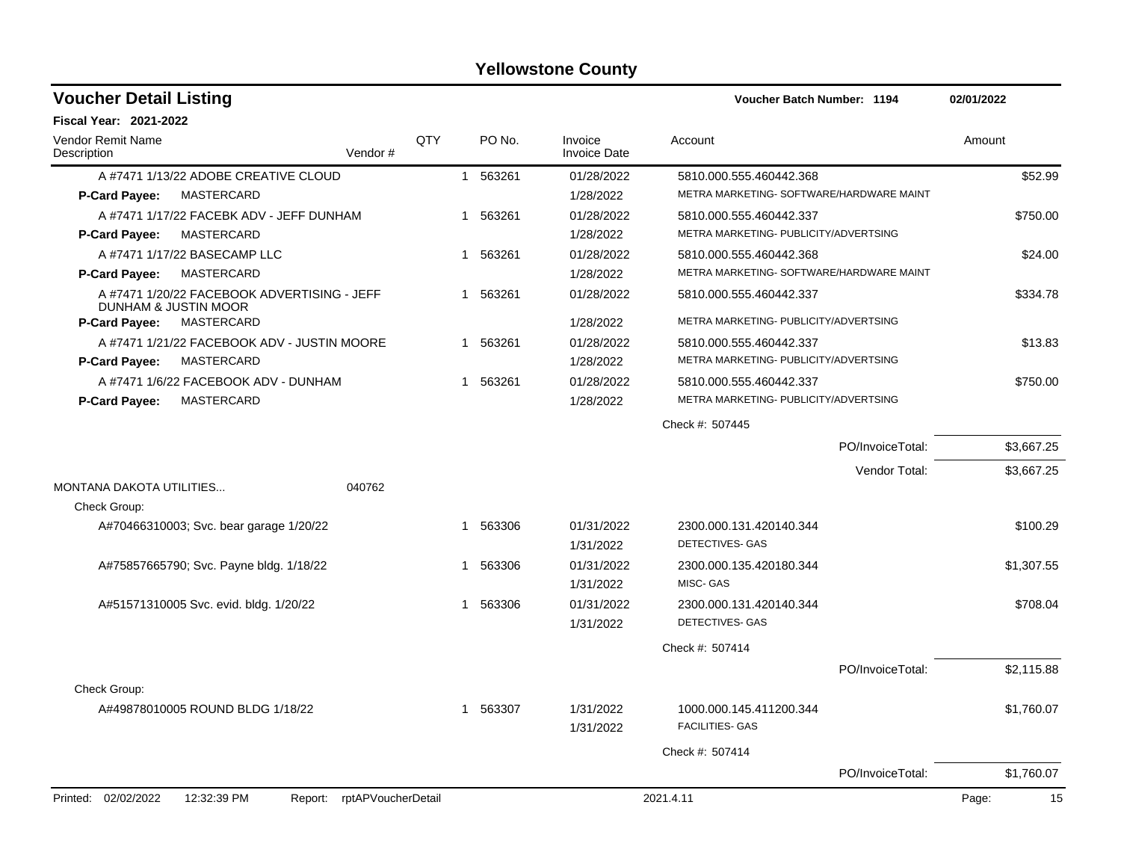| <b>Voucher Detail Listing</b>                                       |     |          |                                | <b>Voucher Batch Number: 1194</b>                 |                  | 02/01/2022  |
|---------------------------------------------------------------------|-----|----------|--------------------------------|---------------------------------------------------|------------------|-------------|
| <b>Fiscal Year: 2021-2022</b>                                       |     |          |                                |                                                   |                  |             |
| <b>Vendor Remit Name</b><br>Vendor#<br>Description                  | QTY | PO No.   | Invoice<br><b>Invoice Date</b> | Account                                           |                  | Amount      |
| A #7471 1/13/22 ADOBE CREATIVE CLOUD                                |     | 1 563261 | 01/28/2022                     | 5810.000.555.460442.368                           |                  | \$52.99     |
| MASTERCARD<br><b>P-Card Payee:</b>                                  |     |          | 1/28/2022                      | METRA MARKETING- SOFTWARE/HARDWARE MAINT          |                  |             |
| A #7471 1/17/22 FACEBK ADV - JEFF DUNHAM                            |     | 1 563261 | 01/28/2022                     | 5810.000.555.460442.337                           |                  | \$750.00    |
| MASTERCARD<br><b>P-Card Payee:</b>                                  |     |          | 1/28/2022                      | METRA MARKETING- PUBLICITY/ADVERTSING             |                  |             |
| A #7471 1/17/22 BASECAMP LLC                                        |     | 1 563261 | 01/28/2022                     | 5810.000.555.460442.368                           |                  | \$24.00     |
| MASTERCARD<br><b>P-Card Payee:</b>                                  |     |          | 1/28/2022                      | METRA MARKETING- SOFTWARE/HARDWARE MAINT          |                  |             |
| A #7471 1/20/22 FACEBOOK ADVERTISING - JEFF<br>DUNHAM & JUSTIN MOOR |     | 1 563261 | 01/28/2022                     | 5810.000.555.460442.337                           |                  | \$334.78    |
| <b>P-Card Payee:</b><br>MASTERCARD                                  |     |          | 1/28/2022                      | METRA MARKETING- PUBLICITY/ADVERTSING             |                  |             |
| A #7471 1/21/22 FACEBOOK ADV - JUSTIN MOORE                         |     | 1 563261 | 01/28/2022                     | 5810.000.555.460442.337                           |                  | \$13.83     |
| <b>P-Card Payee:</b><br>MASTERCARD                                  |     |          | 1/28/2022                      | METRA MARKETING- PUBLICITY/ADVERTSING             |                  |             |
| A #7471 1/6/22 FACEBOOK ADV - DUNHAM                                |     | 1 563261 | 01/28/2022                     | 5810.000.555.460442.337                           |                  | \$750.00    |
| <b>MASTERCARD</b><br><b>P-Card Payee:</b>                           |     |          | 1/28/2022                      | METRA MARKETING- PUBLICITY/ADVERTSING             |                  |             |
|                                                                     |     |          |                                | Check #: 507445                                   |                  |             |
|                                                                     |     |          |                                |                                                   | PO/InvoiceTotal: | \$3,667.25  |
|                                                                     |     |          |                                |                                                   | Vendor Total:    | \$3,667.25  |
| <b>MONTANA DAKOTA UTILITIES</b><br>040762<br>Check Group:           |     |          |                                |                                                   |                  |             |
| A#70466310003; Svc. bear garage 1/20/22                             |     | 1 563306 | 01/31/2022<br>1/31/2022        | 2300.000.131.420140.344<br>DETECTIVES- GAS        |                  | \$100.29    |
| A#75857665790; Svc. Payne bldg. 1/18/22                             |     | 1 563306 | 01/31/2022<br>1/31/2022        | 2300.000.135.420180.344<br>MISC- GAS              |                  | \$1,307.55  |
| A#51571310005 Svc. evid. bldg. 1/20/22                              |     | 1 563306 | 01/31/2022<br>1/31/2022        | 2300.000.131.420140.344<br>DETECTIVES- GAS        |                  | \$708.04    |
|                                                                     |     |          |                                | Check #: 507414                                   |                  |             |
|                                                                     |     |          |                                |                                                   | PO/InvoiceTotal: | \$2,115.88  |
| Check Group:                                                        |     |          |                                |                                                   |                  |             |
| A#49878010005 ROUND BLDG 1/18/22                                    |     | 1 563307 | 1/31/2022<br>1/31/2022         | 1000.000.145.411200.344<br><b>FACILITIES- GAS</b> |                  | \$1,760.07  |
|                                                                     |     |          |                                | Check #: 507414                                   |                  |             |
|                                                                     |     |          |                                |                                                   | PO/InvoiceTotal: | \$1,760.07  |
| Printed: 02/02/2022<br>12:32:39 PM<br>Report: rptAPVoucherDetail    |     |          |                                | 2021.4.11                                         |                  | 15<br>Page: |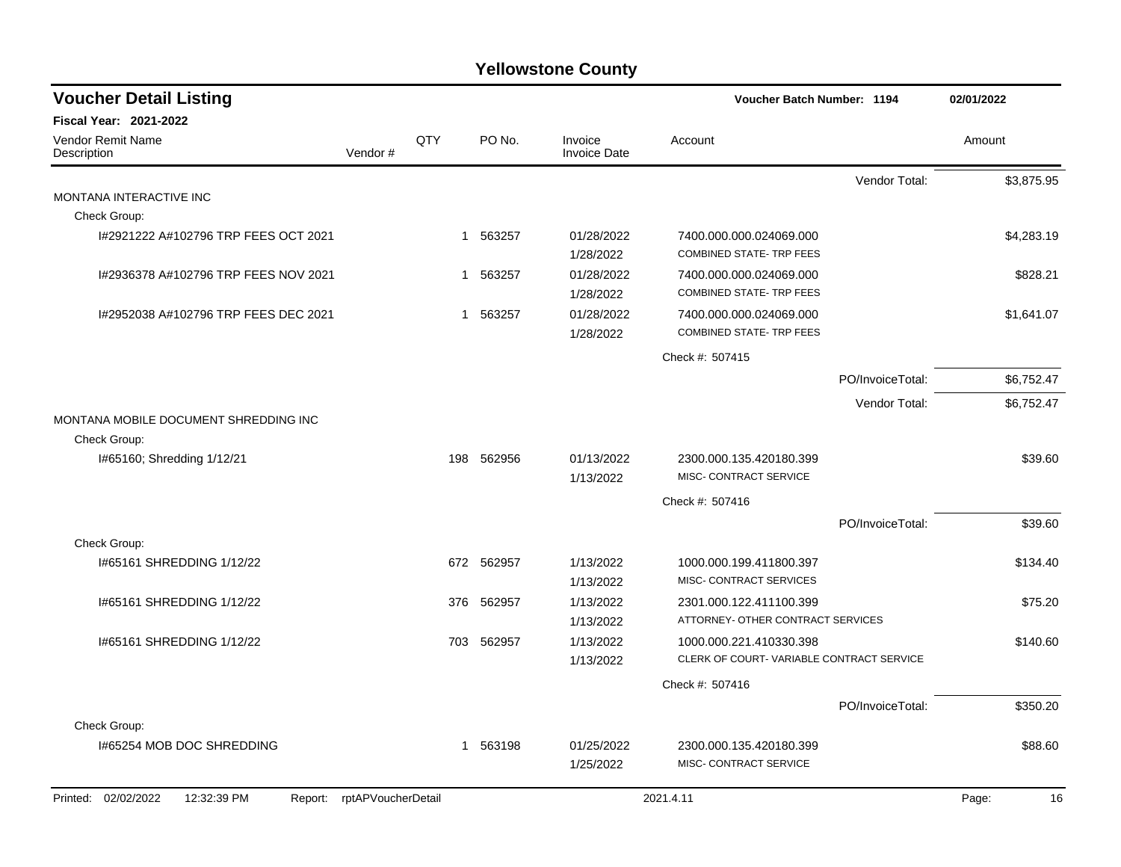| <b>Voucher Detail Listing</b>         |                            |     |            |                                | Voucher Batch Number: 1194                                |                  | 02/01/2022  |
|---------------------------------------|----------------------------|-----|------------|--------------------------------|-----------------------------------------------------------|------------------|-------------|
| Fiscal Year: 2021-2022                |                            |     |            |                                |                                                           |                  |             |
| Vendor Remit Name<br>Description      | Vendor#                    | QTY | PO No.     | Invoice<br><b>Invoice Date</b> | Account                                                   |                  | Amount      |
|                                       |                            |     |            |                                |                                                           | Vendor Total:    | \$3,875.95  |
| MONTANA INTERACTIVE INC               |                            |     |            |                                |                                                           |                  |             |
| Check Group:                          |                            |     |            |                                |                                                           |                  |             |
| 1#2921222 A#102796 TRP FEES OCT 2021  |                            |     | 1 563257   | 01/28/2022<br>1/28/2022        | 7400.000.000.024069.000<br><b>COMBINED STATE-TRP FEES</b> |                  | \$4,283.19  |
| 1#2936378 A#102796 TRP FEES NOV 2021  |                            | 1   | 563257     | 01/28/2022                     | 7400.000.000.024069.000                                   |                  | \$828.21    |
|                                       |                            |     |            | 1/28/2022                      | <b>COMBINED STATE-TRP FEES</b>                            |                  |             |
| 1#2952038 A#102796 TRP FEES DEC 2021  |                            | 1   | 563257     | 01/28/2022                     | 7400.000.000.024069.000                                   |                  | \$1,641.07  |
|                                       |                            |     |            | 1/28/2022                      | <b>COMBINED STATE- TRP FEES</b>                           |                  |             |
|                                       |                            |     |            |                                | Check #: 507415                                           |                  |             |
|                                       |                            |     |            |                                |                                                           | PO/InvoiceTotal: | \$6,752.47  |
|                                       |                            |     |            |                                |                                                           | Vendor Total:    | \$6,752.47  |
| MONTANA MOBILE DOCUMENT SHREDDING INC |                            |     |            |                                |                                                           |                  |             |
| Check Group:                          |                            |     |            |                                |                                                           |                  |             |
| I#65160; Shredding 1/12/21            |                            |     | 198 562956 | 01/13/2022<br>1/13/2022        | 2300.000.135.420180.399<br>MISC- CONTRACT SERVICE         |                  | \$39.60     |
|                                       |                            |     |            |                                | Check #: 507416                                           |                  |             |
|                                       |                            |     |            |                                |                                                           | PO/InvoiceTotal: | \$39.60     |
| Check Group:                          |                            |     |            |                                |                                                           |                  |             |
| 1#65161 SHREDDING 1/12/22             |                            |     | 672 562957 | 1/13/2022<br>1/13/2022         | 1000.000.199.411800.397<br>MISC- CONTRACT SERVICES        |                  | \$134.40    |
| I#65161 SHREDDING 1/12/22             |                            | 376 | 562957     | 1/13/2022                      | 2301.000.122.411100.399                                   |                  | \$75.20     |
|                                       |                            |     |            | 1/13/2022                      | ATTORNEY- OTHER CONTRACT SERVICES                         |                  |             |
| 1#65161 SHREDDING 1/12/22             |                            |     | 703 562957 | 1/13/2022                      | 1000.000.221.410330.398                                   |                  | \$140.60    |
|                                       |                            |     |            | 1/13/2022                      | CLERK OF COURT-VARIABLE CONTRACT SERVICE                  |                  |             |
|                                       |                            |     |            |                                | Check #: 507416                                           |                  |             |
|                                       |                            |     |            |                                |                                                           | PO/InvoiceTotal: | \$350.20    |
| Check Group:                          |                            |     |            |                                |                                                           |                  |             |
| 1#65254 MOB DOC SHREDDING             |                            |     | 1 563198   | 01/25/2022                     | 2300.000.135.420180.399                                   |                  | \$88.60     |
|                                       |                            |     |            | 1/25/2022                      | MISC- CONTRACT SERVICE                                    |                  |             |
| Printed: 02/02/2022<br>12:32:39 PM    | Report: rptAPVoucherDetail |     |            |                                | 2021.4.11                                                 |                  | Page:<br>16 |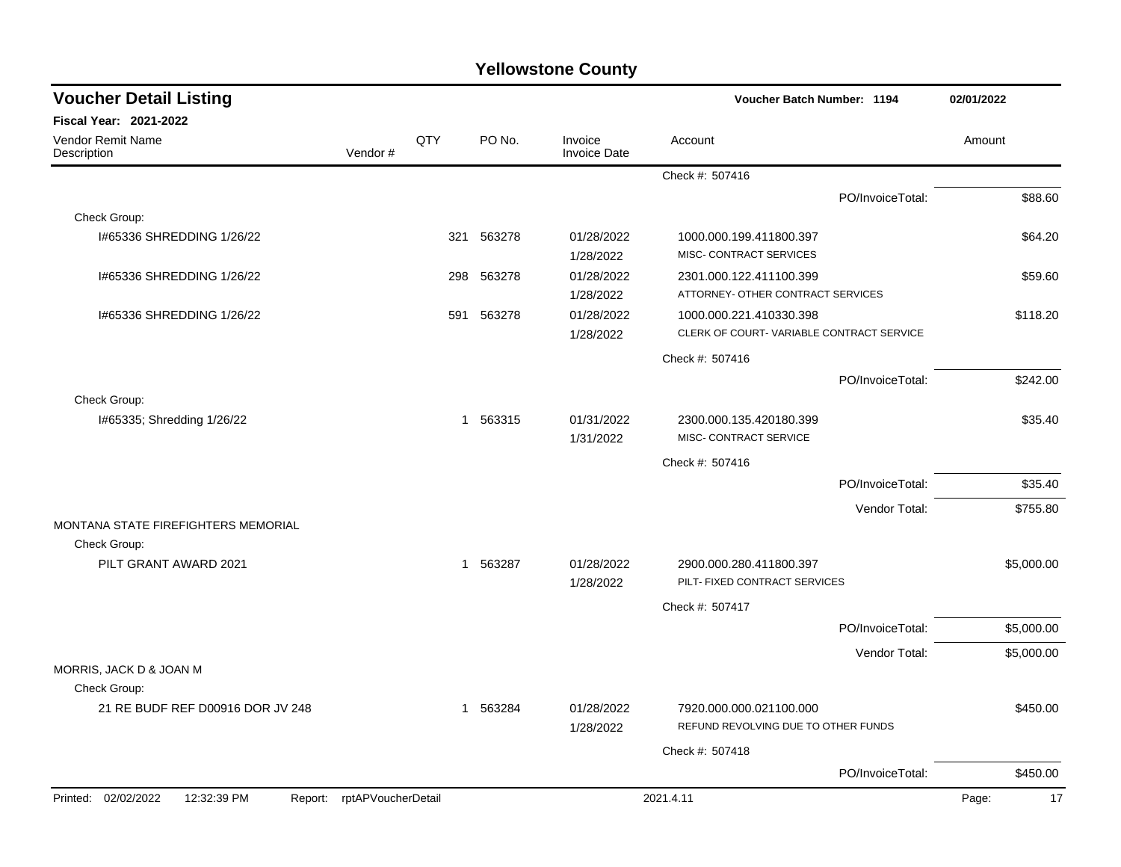| <b>Voucher Detail Listing</b>                                    |         |     |          |                                | Voucher Batch Number: 1194                                     |                  | 02/01/2022  |
|------------------------------------------------------------------|---------|-----|----------|--------------------------------|----------------------------------------------------------------|------------------|-------------|
| Fiscal Year: 2021-2022                                           |         |     |          |                                |                                                                |                  |             |
| Vendor Remit Name<br>Description                                 | Vendor# | QTY | PO No.   | Invoice<br><b>Invoice Date</b> | Account                                                        |                  | Amount      |
|                                                                  |         |     |          |                                | Check #: 507416                                                |                  |             |
|                                                                  |         |     |          |                                |                                                                | PO/InvoiceTotal: | \$88.60     |
| Check Group:                                                     |         |     |          |                                |                                                                |                  |             |
| I#65336 SHREDDING 1/26/22                                        |         | 321 | 563278   | 01/28/2022<br>1/28/2022        | 1000.000.199.411800.397<br>MISC- CONTRACT SERVICES             |                  | \$64.20     |
| 1#65336 SHREDDING 1/26/22                                        |         | 298 | 563278   | 01/28/2022                     | 2301.000.122.411100.399                                        |                  | \$59.60     |
|                                                                  |         |     |          | 1/28/2022                      | ATTORNEY- OTHER CONTRACT SERVICES                              |                  |             |
| 1#65336 SHREDDING 1/26/22                                        |         | 591 | 563278   | 01/28/2022                     | 1000.000.221.410330.398                                        |                  | \$118.20    |
|                                                                  |         |     |          | 1/28/2022                      | CLERK OF COURT-VARIABLE CONTRACT SERVICE                       |                  |             |
|                                                                  |         |     |          |                                | Check #: 507416                                                |                  |             |
|                                                                  |         |     |          |                                |                                                                | PO/InvoiceTotal: | \$242.00    |
| Check Group:                                                     |         |     |          |                                |                                                                |                  |             |
| I#65335; Shredding 1/26/22                                       |         |     | 1 563315 | 01/31/2022<br>1/31/2022        | 2300.000.135.420180.399<br>MISC- CONTRACT SERVICE              |                  | \$35.40     |
|                                                                  |         |     |          |                                | Check #: 507416                                                |                  |             |
|                                                                  |         |     |          |                                |                                                                | PO/InvoiceTotal: | \$35.40     |
|                                                                  |         |     |          |                                |                                                                | Vendor Total:    | \$755.80    |
| MONTANA STATE FIREFIGHTERS MEMORIAL<br>Check Group:              |         |     |          |                                |                                                                |                  |             |
| PILT GRANT AWARD 2021                                            |         |     | 1 563287 | 01/28/2022<br>1/28/2022        | 2900.000.280.411800.397<br>PILT- FIXED CONTRACT SERVICES       |                  | \$5,000.00  |
|                                                                  |         |     |          |                                | Check #: 507417                                                |                  |             |
|                                                                  |         |     |          |                                |                                                                | PO/InvoiceTotal: | \$5,000.00  |
|                                                                  |         |     |          |                                |                                                                | Vendor Total:    | \$5,000.00  |
| MORRIS, JACK D & JOAN M<br>Check Group:                          |         |     |          |                                |                                                                |                  |             |
| 21 RE BUDF REF D00916 DOR JV 248                                 |         |     | 1 563284 | 01/28/2022<br>1/28/2022        | 7920.000.000.021100.000<br>REFUND REVOLVING DUE TO OTHER FUNDS |                  | \$450.00    |
|                                                                  |         |     |          |                                | Check #: 507418                                                |                  |             |
|                                                                  |         |     |          |                                |                                                                | PO/InvoiceTotal: | \$450.00    |
| Printed: 02/02/2022<br>Report: rptAPVoucherDetail<br>12:32:39 PM |         |     |          |                                | 2021.4.11                                                      |                  | 17<br>Page: |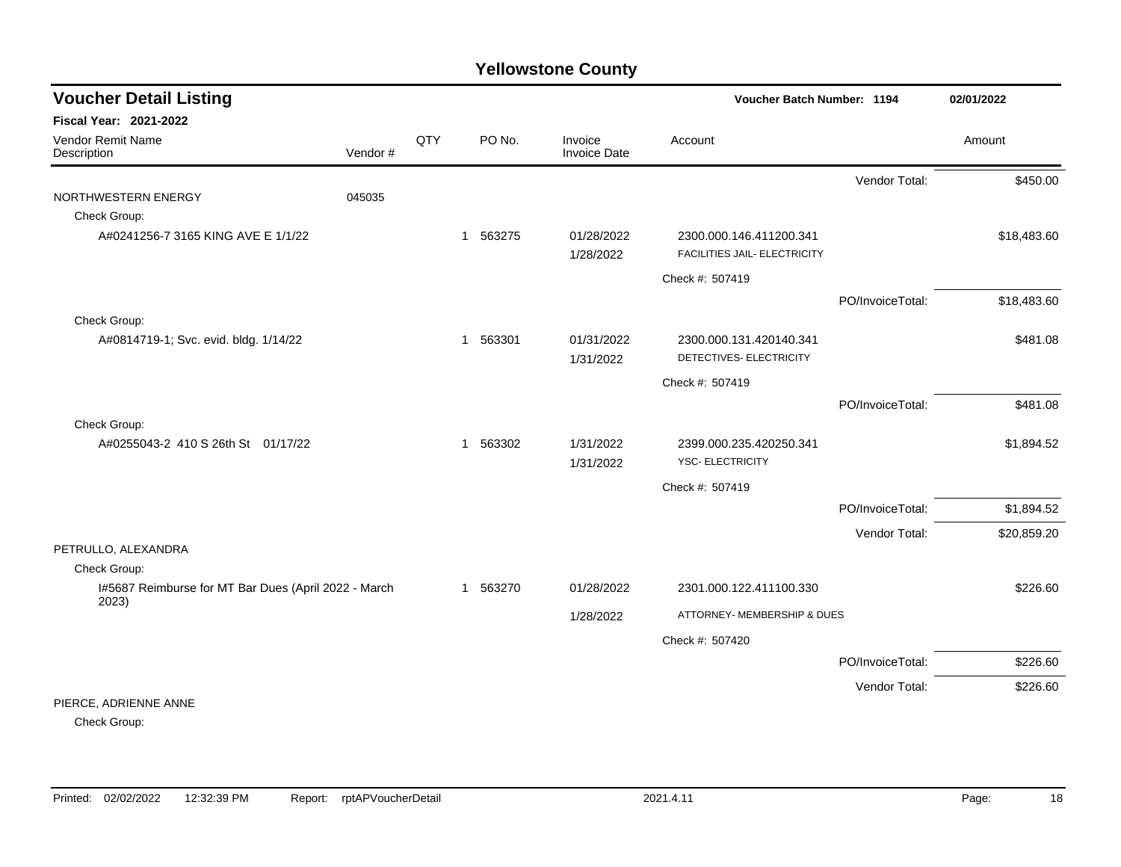| <b>Voucher Detail Listing</b>                                 |         |     |             |                         | Voucher Batch Number: 1194                              |                  | 02/01/2022  |
|---------------------------------------------------------------|---------|-----|-------------|-------------------------|---------------------------------------------------------|------------------|-------------|
| <b>Fiscal Year: 2021-2022</b>                                 |         |     |             |                         |                                                         |                  |             |
| Vendor Remit Name<br>Description                              | Vendor# | QTY | PO No.      | Invoice<br>Invoice Date | Account                                                 |                  | Amount      |
|                                                               |         |     |             |                         |                                                         | Vendor Total:    | \$450.00    |
| NORTHWESTERN ENERGY                                           | 045035  |     |             |                         |                                                         |                  |             |
| Check Group:                                                  |         |     |             |                         |                                                         |                  |             |
| A#0241256-7 3165 KING AVE E 1/1/22                            |         |     | 563275<br>1 | 01/28/2022<br>1/28/2022 | 2300.000.146.411200.341<br>FACILITIES JAIL- ELECTRICITY |                  | \$18,483.60 |
|                                                               |         |     |             |                         | Check #: 507419                                         |                  |             |
|                                                               |         |     |             |                         |                                                         | PO/InvoiceTotal: | \$18,483.60 |
| Check Group:                                                  |         |     |             |                         |                                                         |                  |             |
| A#0814719-1; Svc. evid. bldg. 1/14/22                         |         |     | 563301<br>1 | 01/31/2022<br>1/31/2022 | 2300.000.131.420140.341<br>DETECTIVES- ELECTRICITY      |                  | \$481.08    |
|                                                               |         |     |             |                         | Check #: 507419                                         |                  |             |
|                                                               |         |     |             |                         |                                                         | PO/InvoiceTotal: | \$481.08    |
| Check Group:                                                  |         |     |             |                         |                                                         |                  |             |
| A#0255043-2 410 S 26th St 01/17/22                            |         |     | 563302<br>1 | 1/31/2022<br>1/31/2022  | 2399.000.235.420250.341<br>YSC- ELECTRICITY             |                  | \$1,894.52  |
|                                                               |         |     |             |                         | Check #: 507419                                         |                  |             |
|                                                               |         |     |             |                         |                                                         | PO/InvoiceTotal: | \$1,894.52  |
|                                                               |         |     |             |                         |                                                         | Vendor Total:    | \$20,859.20 |
| PETRULLO, ALEXANDRA                                           |         |     |             |                         |                                                         |                  |             |
| Check Group:                                                  |         |     |             |                         |                                                         |                  |             |
| I#5687 Reimburse for MT Bar Dues (April 2022 - March<br>2023) |         |     | 1 563270    | 01/28/2022              | 2301.000.122.411100.330                                 |                  | \$226.60    |
|                                                               |         |     |             | 1/28/2022               | ATTORNEY- MEMBERSHIP & DUES                             |                  |             |
|                                                               |         |     |             |                         | Check #: 507420                                         |                  |             |
|                                                               |         |     |             |                         |                                                         | PO/InvoiceTotal: | \$226.60    |
|                                                               |         |     |             |                         |                                                         | Vendor Total:    | \$226.60    |
| PIERCE, ADRIENNE ANNE                                         |         |     |             |                         |                                                         |                  |             |

Check Group: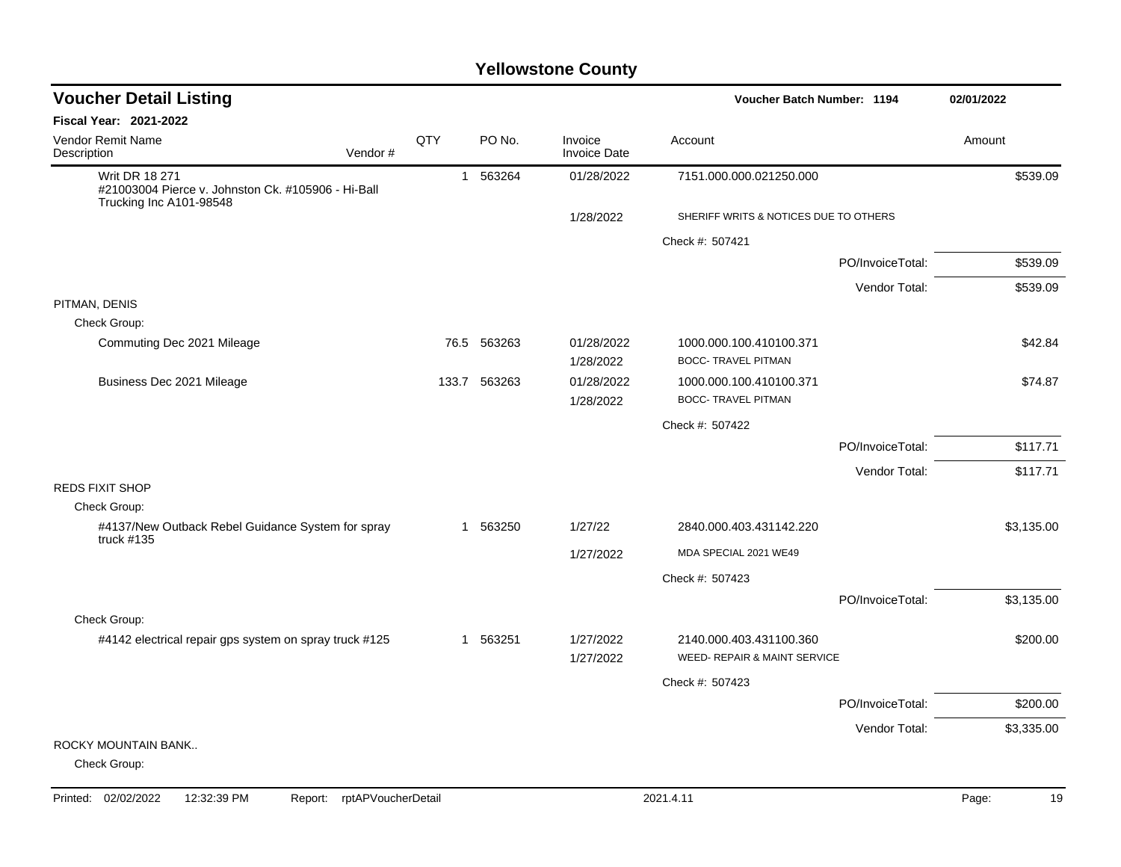| <b>Voucher Detail Listing</b>                                                                          |     |              |                                | Voucher Batch Number: 1194                              |                  | 02/01/2022 |
|--------------------------------------------------------------------------------------------------------|-----|--------------|--------------------------------|---------------------------------------------------------|------------------|------------|
| Fiscal Year: 2021-2022                                                                                 |     |              |                                |                                                         |                  |            |
| <b>Vendor Remit Name</b><br>Vendor#<br>Description                                                     | QTY | PO No.       | Invoice<br><b>Invoice Date</b> | Account                                                 |                  | Amount     |
| <b>Writ DR 18 271</b><br>#21003004 Pierce v. Johnston Ck. #105906 - Hi-Ball<br>Trucking Inc A101-98548 |     | 1 563264     | 01/28/2022                     | 7151.000.000.021250.000                                 |                  | \$539.09   |
|                                                                                                        |     |              | 1/28/2022                      | SHERIFF WRITS & NOTICES DUE TO OTHERS                   |                  |            |
|                                                                                                        |     |              |                                | Check #: 507421                                         |                  |            |
|                                                                                                        |     |              |                                |                                                         | PO/InvoiceTotal: | \$539.09   |
|                                                                                                        |     |              |                                |                                                         | Vendor Total:    | \$539.09   |
| PITMAN, DENIS                                                                                          |     |              |                                |                                                         |                  |            |
| Check Group:                                                                                           |     |              |                                |                                                         |                  |            |
| Commuting Dec 2021 Mileage                                                                             |     | 76.5 563263  | 01/28/2022<br>1/28/2022        | 1000.000.100.410100.371<br><b>BOCC- TRAVEL PITMAN</b>   |                  | \$42.84    |
| Business Dec 2021 Mileage                                                                              |     | 133.7 563263 | 01/28/2022                     | 1000.000.100.410100.371                                 |                  | \$74.87    |
|                                                                                                        |     |              | 1/28/2022                      | <b>BOCC- TRAVEL PITMAN</b>                              |                  |            |
|                                                                                                        |     |              |                                | Check #: 507422                                         |                  |            |
|                                                                                                        |     |              |                                |                                                         | PO/InvoiceTotal: | \$117.71   |
|                                                                                                        |     |              |                                |                                                         | Vendor Total:    | \$117.71   |
| <b>REDS FIXIT SHOP</b>                                                                                 |     |              |                                |                                                         |                  |            |
| Check Group:                                                                                           |     |              |                                |                                                         |                  |            |
| #4137/New Outback Rebel Guidance System for spray<br>truck $#135$                                      |     | 1 563250     | 1/27/22                        | 2840.000.403.431142.220                                 |                  | \$3,135.00 |
|                                                                                                        |     |              | 1/27/2022                      | MDA SPECIAL 2021 WE49                                   |                  |            |
|                                                                                                        |     |              |                                | Check #: 507423                                         |                  |            |
|                                                                                                        |     |              |                                |                                                         | PO/InvoiceTotal: | \$3,135.00 |
| Check Group:                                                                                           |     |              |                                |                                                         |                  |            |
| #4142 electrical repair gps system on spray truck #125                                                 |     | 1 563251     | 1/27/2022<br>1/27/2022         | 2140.000.403.431100.360<br>WEED- REPAIR & MAINT SERVICE |                  | \$200.00   |
|                                                                                                        |     |              |                                | Check #: 507423                                         |                  |            |
|                                                                                                        |     |              |                                |                                                         | PO/InvoiceTotal: | \$200.00   |
|                                                                                                        |     |              |                                |                                                         | Vendor Total:    | \$3,335.00 |
| ROCKY MOUNTAIN BANK<br>Check Group:                                                                    |     |              |                                |                                                         |                  |            |
|                                                                                                        |     |              |                                |                                                         |                  |            |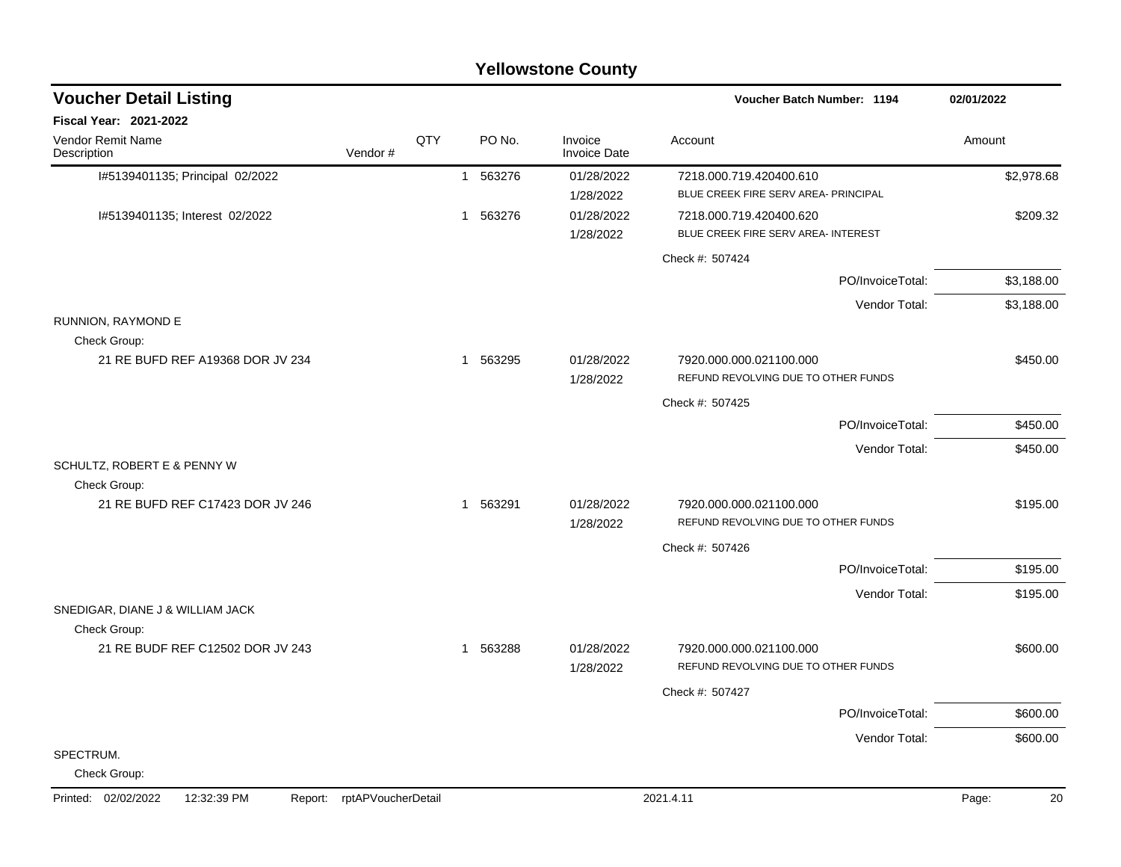|                                                  |                            |     |          | <b>Yellowstone County</b> |                                                                 |             |
|--------------------------------------------------|----------------------------|-----|----------|---------------------------|-----------------------------------------------------------------|-------------|
| <b>Voucher Detail Listing</b>                    |                            |     |          |                           | <b>Voucher Batch Number: 1194</b>                               | 02/01/2022  |
| Fiscal Year: 2021-2022                           |                            |     |          |                           |                                                                 |             |
| Vendor Remit Name<br>Description                 | Vendor#                    | QTY | PO No.   | Invoice<br>Invoice Date   | Account                                                         | Amount      |
| I#5139401135; Principal 02/2022                  |                            |     | 1 563276 | 01/28/2022<br>1/28/2022   | 7218.000.719.420400.610<br>BLUE CREEK FIRE SERV AREA- PRINCIPAL | \$2,978.68  |
| I#5139401135; Interest 02/2022                   |                            |     | 1 563276 | 01/28/2022<br>1/28/2022   | 7218.000.719.420400.620<br>BLUE CREEK FIRE SERV AREA- INTEREST  | \$209.32    |
|                                                  |                            |     |          |                           | Check #: 507424                                                 |             |
|                                                  |                            |     |          |                           | PO/InvoiceTotal:                                                | \$3,188.00  |
|                                                  |                            |     |          |                           | Vendor Total:                                                   | \$3,188.00  |
| RUNNION, RAYMOND E<br>Check Group:               |                            |     |          |                           |                                                                 |             |
| 21 RE BUFD REF A19368 DOR JV 234                 |                            |     | 1 563295 | 01/28/2022<br>1/28/2022   | 7920.000.000.021100.000<br>REFUND REVOLVING DUE TO OTHER FUNDS  | \$450.00    |
|                                                  |                            |     |          |                           | Check #: 507425                                                 |             |
|                                                  |                            |     |          |                           | PO/InvoiceTotal:                                                | \$450.00    |
|                                                  |                            |     |          |                           | Vendor Total:                                                   | \$450.00    |
| SCHULTZ, ROBERT E & PENNY W<br>Check Group:      |                            |     |          |                           |                                                                 |             |
| 21 RE BUFD REF C17423 DOR JV 246                 |                            |     | 1 563291 | 01/28/2022<br>1/28/2022   | 7920.000.000.021100.000<br>REFUND REVOLVING DUE TO OTHER FUNDS  | \$195.00    |
|                                                  |                            |     |          |                           | Check #: 507426                                                 |             |
|                                                  |                            |     |          |                           | PO/InvoiceTotal:                                                | \$195.00    |
|                                                  |                            |     |          |                           | Vendor Total:                                                   | \$195.00    |
| SNEDIGAR, DIANE J & WILLIAM JACK                 |                            |     |          |                           |                                                                 |             |
| Check Group:<br>21 RE BUDF REF C12502 DOR JV 243 |                            |     | 1 563288 | 01/28/2022                | 7920.000.000.021100.000                                         | \$600.00    |
|                                                  |                            |     |          | 1/28/2022                 | REFUND REVOLVING DUE TO OTHER FUNDS                             |             |
|                                                  |                            |     |          |                           | Check #: 507427                                                 |             |
|                                                  |                            |     |          |                           | PO/InvoiceTotal:                                                | \$600.00    |
|                                                  |                            |     |          |                           | Vendor Total:                                                   | \$600.00    |
| SPECTRUM.<br>Check Group:                        |                            |     |          |                           |                                                                 |             |
| Printed: 02/02/2022<br>12:32:39 PM               | Report: rptAPVoucherDetail |     |          |                           | 2021.4.11                                                       | 20<br>Page: |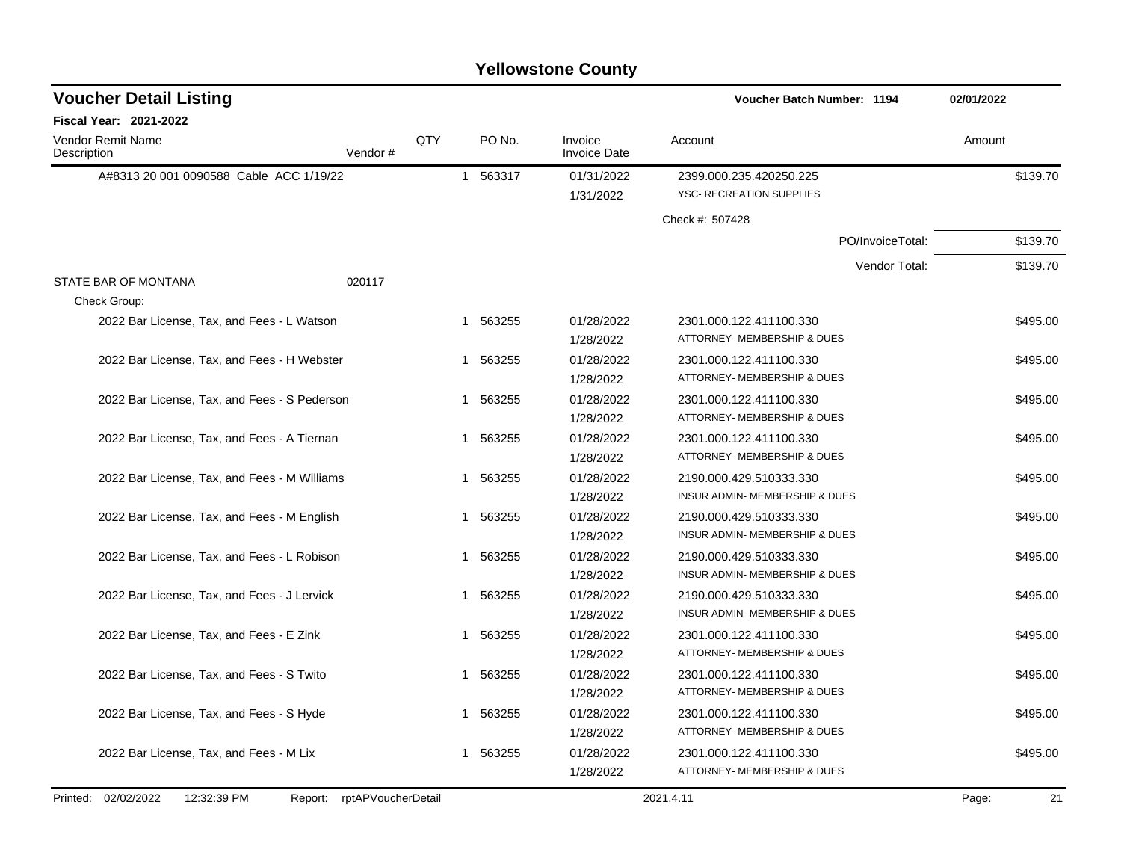| <b>Voucher Detail Listing</b>                |                               |     |             |                                | Voucher Batch Number: 1194                             | 02/01/2022  |
|----------------------------------------------|-------------------------------|-----|-------------|--------------------------------|--------------------------------------------------------|-------------|
| Fiscal Year: 2021-2022                       |                               |     |             |                                |                                                        |             |
| Vendor Remit Name<br>Description             | Vendor#                       | QTY | PO No.      | Invoice<br><b>Invoice Date</b> | Account                                                | Amount      |
| A#8313 20 001 0090588 Cable ACC 1/19/22      |                               |     | 1 563317    | 01/31/2022                     | 2399.000.235.420250.225                                | \$139.70    |
|                                              |                               |     |             | 1/31/2022                      | <b>YSC- RECREATION SUPPLIES</b>                        |             |
|                                              |                               |     |             |                                | Check #: 507428                                        |             |
|                                              |                               |     |             |                                | PO/InvoiceTotal:                                       | \$139.70    |
|                                              |                               |     |             |                                | Vendor Total:                                          | \$139.70    |
| STATE BAR OF MONTANA                         | 020117                        |     |             |                                |                                                        |             |
| Check Group:                                 |                               |     |             |                                |                                                        |             |
| 2022 Bar License, Tax, and Fees - L Watson   |                               |     | 1 563255    | 01/28/2022                     | 2301.000.122.411100.330                                | \$495.00    |
|                                              |                               |     |             | 1/28/2022                      | ATTORNEY- MEMBERSHIP & DUES                            |             |
| 2022 Bar License, Tax, and Fees - H Webster  |                               |     | 563255<br>1 | 01/28/2022                     | 2301.000.122.411100.330                                | \$495.00    |
|                                              |                               |     |             | 1/28/2022                      | ATTORNEY- MEMBERSHIP & DUES                            |             |
| 2022 Bar License, Tax, and Fees - S Pederson |                               |     | 563255<br>1 | 01/28/2022                     | 2301.000.122.411100.330                                | \$495.00    |
|                                              |                               |     |             | 1/28/2022                      | ATTORNEY- MEMBERSHIP & DUES                            |             |
| 2022 Bar License, Tax, and Fees - A Tiernan  |                               |     | 563255<br>1 | 01/28/2022                     | 2301.000.122.411100.330                                | \$495.00    |
|                                              |                               |     |             | 1/28/2022                      | ATTORNEY- MEMBERSHIP & DUES                            |             |
| 2022 Bar License, Tax, and Fees - M Williams |                               |     | 563255<br>1 | 01/28/2022                     | 2190.000.429.510333.330                                | \$495.00    |
|                                              |                               |     |             | 1/28/2022                      | INSUR ADMIN- MEMBERSHIP & DUES                         |             |
| 2022 Bar License, Tax, and Fees - M English  |                               |     | 563255<br>1 | 01/28/2022                     | 2190.000.429.510333.330                                | \$495.00    |
|                                              |                               |     |             | 1/28/2022                      | <b>INSUR ADMIN- MEMBERSHIP &amp; DUES</b>              |             |
| 2022 Bar License, Tax, and Fees - L Robison  |                               |     | 563255<br>1 | 01/28/2022                     | 2190.000.429.510333.330                                | \$495.00    |
|                                              |                               |     |             | 1/28/2022                      | INSUR ADMIN- MEMBERSHIP & DUES                         |             |
| 2022 Bar License, Tax, and Fees - J Lervick  |                               |     | 563255<br>1 | 01/28/2022                     | 2190.000.429.510333.330                                | \$495.00    |
|                                              |                               |     |             | 1/28/2022                      | INSUR ADMIN- MEMBERSHIP & DUES                         |             |
| 2022 Bar License, Tax, and Fees - E Zink     |                               |     | 563255<br>1 | 01/28/2022                     | 2301.000.122.411100.330                                | \$495.00    |
|                                              |                               |     |             | 1/28/2022                      | ATTORNEY- MEMBERSHIP & DUES                            |             |
| 2022 Bar License, Tax, and Fees - S Twito    |                               |     | 1 563255    | 01/28/2022                     | 2301.000.122.411100.330<br>ATTORNEY- MEMBERSHIP & DUES | \$495.00    |
|                                              |                               |     |             | 1/28/2022                      |                                                        |             |
| 2022 Bar License, Tax, and Fees - S Hyde     |                               |     | 563255<br>1 | 01/28/2022                     | 2301.000.122.411100.330                                | \$495.00    |
|                                              |                               |     |             | 1/28/2022                      | ATTORNEY- MEMBERSHIP & DUES                            |             |
| 2022 Bar License, Tax, and Fees - M Lix      |                               |     | 563255<br>1 | 01/28/2022<br>1/28/2022        | 2301.000.122.411100.330<br>ATTORNEY- MEMBERSHIP & DUES | \$495.00    |
|                                              |                               |     |             |                                |                                                        |             |
| Printed: 02/02/2022<br>12:32:39 PM           | rptAPVoucherDetail<br>Report: |     |             |                                | 2021.4.11                                              | 21<br>Page: |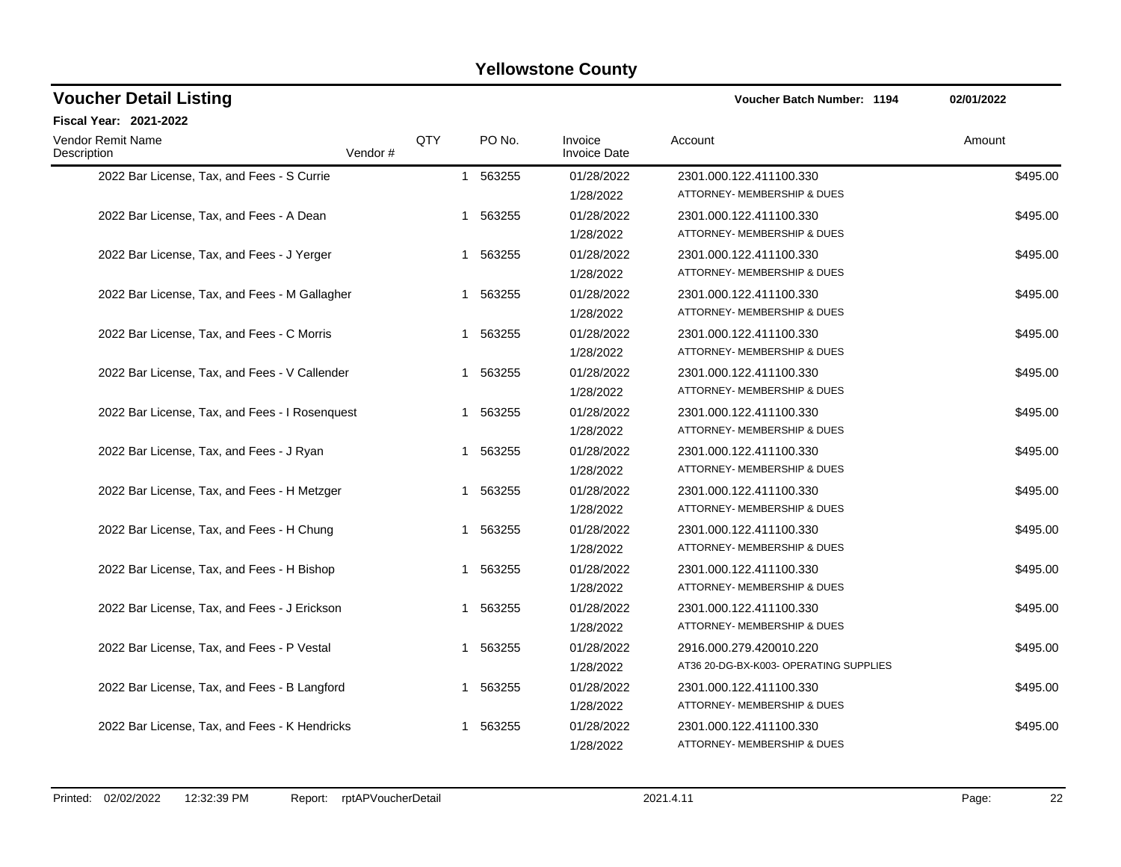| <b>Voucher Detail Listing</b>                  |         | Voucher Batch Number: 1194 | 02/01/2022  |                                |                                                                   |          |
|------------------------------------------------|---------|----------------------------|-------------|--------------------------------|-------------------------------------------------------------------|----------|
| Fiscal Year: 2021-2022                         |         |                            |             |                                |                                                                   |          |
| Vendor Remit Name<br>Description               | Vendor# | QTY                        | PO No.      | Invoice<br><b>Invoice Date</b> | Account                                                           | Amount   |
| 2022 Bar License, Tax, and Fees - S Currie     |         |                            | 1 563255    | 01/28/2022<br>1/28/2022        | 2301.000.122.411100.330<br>ATTORNEY- MEMBERSHIP & DUES            | \$495.00 |
| 2022 Bar License, Tax, and Fees - A Dean       |         |                            | 563255<br>1 | 01/28/2022<br>1/28/2022        | 2301.000.122.411100.330<br>ATTORNEY- MEMBERSHIP & DUES            | \$495.00 |
| 2022 Bar License, Tax, and Fees - J Yerger     |         |                            | 563255<br>1 | 01/28/2022<br>1/28/2022        | 2301.000.122.411100.330<br>ATTORNEY- MEMBERSHIP & DUES            | \$495.00 |
| 2022 Bar License, Tax, and Fees - M Gallagher  |         |                            | 563255<br>1 | 01/28/2022<br>1/28/2022        | 2301.000.122.411100.330<br>ATTORNEY- MEMBERSHIP & DUES            | \$495.00 |
| 2022 Bar License, Tax, and Fees - C Morris     |         |                            | 1 563255    | 01/28/2022<br>1/28/2022        | 2301.000.122.411100.330<br>ATTORNEY- MEMBERSHIP & DUES            | \$495.00 |
| 2022 Bar License, Tax, and Fees - V Callender  |         |                            | 563255<br>1 | 01/28/2022<br>1/28/2022        | 2301.000.122.411100.330<br>ATTORNEY- MEMBERSHIP & DUES            | \$495.00 |
| 2022 Bar License, Tax, and Fees - I Rosenquest |         |                            | 563255<br>1 | 01/28/2022<br>1/28/2022        | 2301.000.122.411100.330<br>ATTORNEY- MEMBERSHIP & DUES            | \$495.00 |
| 2022 Bar License, Tax, and Fees - J Ryan       |         |                            | 563255<br>1 | 01/28/2022<br>1/28/2022        | 2301.000.122.411100.330<br>ATTORNEY- MEMBERSHIP & DUES            | \$495.00 |
| 2022 Bar License, Tax, and Fees - H Metzger    |         |                            | 1 563255    | 01/28/2022<br>1/28/2022        | 2301.000.122.411100.330<br>ATTORNEY- MEMBERSHIP & DUES            | \$495.00 |
| 2022 Bar License, Tax, and Fees - H Chung      |         |                            | 563255<br>1 | 01/28/2022<br>1/28/2022        | 2301.000.122.411100.330<br>ATTORNEY- MEMBERSHIP & DUES            | \$495.00 |
| 2022 Bar License, Tax, and Fees - H Bishop     |         |                            | 1 563255    | 01/28/2022<br>1/28/2022        | 2301.000.122.411100.330<br>ATTORNEY- MEMBERSHIP & DUES            | \$495.00 |
| 2022 Bar License, Tax, and Fees - J Erickson   |         |                            | 563255<br>1 | 01/28/2022<br>1/28/2022        | 2301.000.122.411100.330<br>ATTORNEY- MEMBERSHIP & DUES            | \$495.00 |
| 2022 Bar License, Tax, and Fees - P Vestal     |         |                            | 563255<br>1 | 01/28/2022<br>1/28/2022        | 2916.000.279.420010.220<br>AT36 20-DG-BX-K003- OPERATING SUPPLIES | \$495.00 |
| 2022 Bar License, Tax, and Fees - B Langford   |         |                            | 563255<br>1 | 01/28/2022<br>1/28/2022        | 2301.000.122.411100.330<br>ATTORNEY- MEMBERSHIP & DUES            | \$495.00 |
| 2022 Bar License, Tax, and Fees - K Hendricks  |         |                            | 563255<br>1 | 01/28/2022<br>1/28/2022        | 2301.000.122.411100.330<br>ATTORNEY- MEMBERSHIP & DUES            | \$495.00 |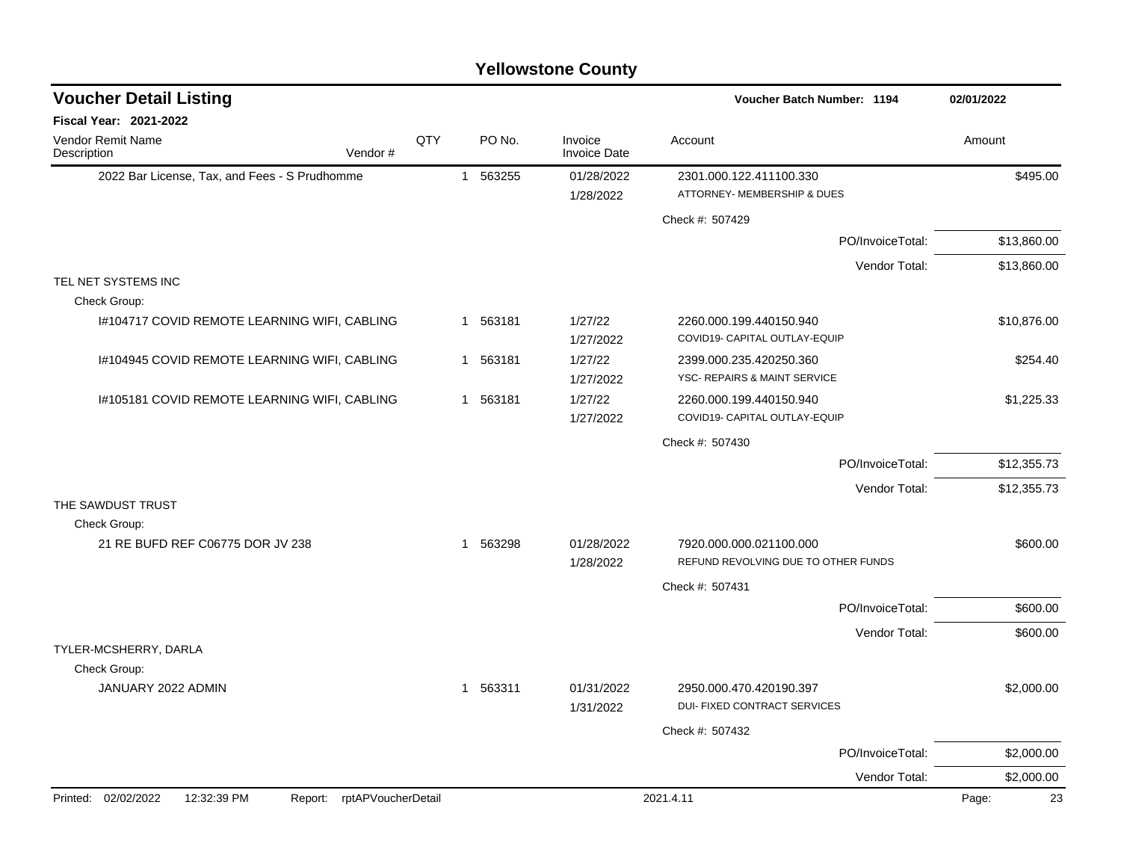|                                               |                    |              |          | <b>Yellowstone County</b>      |                                                                |             |
|-----------------------------------------------|--------------------|--------------|----------|--------------------------------|----------------------------------------------------------------|-------------|
| <b>Voucher Detail Listing</b>                 |                    |              |          |                                | <b>Voucher Batch Number: 1194</b>                              | 02/01/2022  |
| Fiscal Year: 2021-2022                        |                    |              |          |                                |                                                                |             |
| Vendor Remit Name<br>Vendor#<br>Description   |                    | QTY          | PO No.   | Invoice<br><b>Invoice Date</b> | Account                                                        | Amount      |
| 2022 Bar License, Tax, and Fees - S Prudhomme |                    | $\mathbf{1}$ | 563255   | 01/28/2022<br>1/28/2022        | 2301.000.122.411100.330<br>ATTORNEY- MEMBERSHIP & DUES         | \$495.00    |
|                                               |                    |              |          |                                | Check #: 507429                                                |             |
|                                               |                    |              |          |                                | PO/InvoiceTotal:                                               | \$13,860.00 |
|                                               |                    |              |          |                                | Vendor Total:                                                  | \$13,860.00 |
| TEL NET SYSTEMS INC                           |                    |              |          |                                |                                                                |             |
| Check Group:                                  |                    |              |          |                                |                                                                |             |
| I#104717 COVID REMOTE LEARNING WIFI, CABLING  |                    |              | 1 563181 | 1/27/22<br>1/27/2022           | 2260.000.199.440150.940<br>COVID19- CAPITAL OUTLAY-EQUIP       | \$10,876.00 |
| I#104945 COVID REMOTE LEARNING WIFI, CABLING  |                    | -1           | 563181   | 1/27/22<br>1/27/2022           | 2399.000.235.420250.360<br>YSC- REPAIRS & MAINT SERVICE        | \$254.40    |
| 1#105181 COVID REMOTE LEARNING WIFI, CABLING  |                    |              | 1 563181 | 1/27/22<br>1/27/2022           | 2260.000.199.440150.940<br>COVID19- CAPITAL OUTLAY-EQUIP       | \$1,225.33  |
|                                               |                    |              |          |                                | Check #: 507430                                                |             |
|                                               |                    |              |          |                                | PO/InvoiceTotal:                                               | \$12,355.73 |
|                                               |                    |              |          |                                | Vendor Total:                                                  | \$12,355.73 |
| THE SAWDUST TRUST                             |                    |              |          |                                |                                                                |             |
| Check Group:                                  |                    |              |          |                                |                                                                |             |
| 21 RE BUFD REF C06775 DOR JV 238              |                    |              | 1 563298 | 01/28/2022                     | 7920.000.000.021100.000<br>REFUND REVOLVING DUE TO OTHER FUNDS | \$600.00    |
|                                               |                    |              |          | 1/28/2022                      | Check #: 507431                                                |             |
|                                               |                    |              |          |                                | PO/InvoiceTotal:                                               | \$600.00    |
|                                               |                    |              |          |                                |                                                                |             |
| TYLER-MCSHERRY, DARLA                         |                    |              |          |                                | Vendor Total:                                                  | \$600.00    |
| Check Group:                                  |                    |              |          |                                |                                                                |             |
| JANUARY 2022 ADMIN                            |                    |              | 1 563311 | 01/31/2022<br>1/31/2022        | 2950.000.470.420190.397<br>DUI- FIXED CONTRACT SERVICES        | \$2,000.00  |
|                                               |                    |              |          |                                | Check #: 507432                                                |             |
|                                               |                    |              |          |                                | PO/InvoiceTotal:                                               | \$2,000.00  |
|                                               |                    |              |          |                                | Vendor Total:                                                  | \$2,000.00  |
| Printed: 02/02/2022<br>12:32:39 PM<br>Report: | rptAPVoucherDetail |              |          |                                | 2021.4.11                                                      | 23<br>Page: |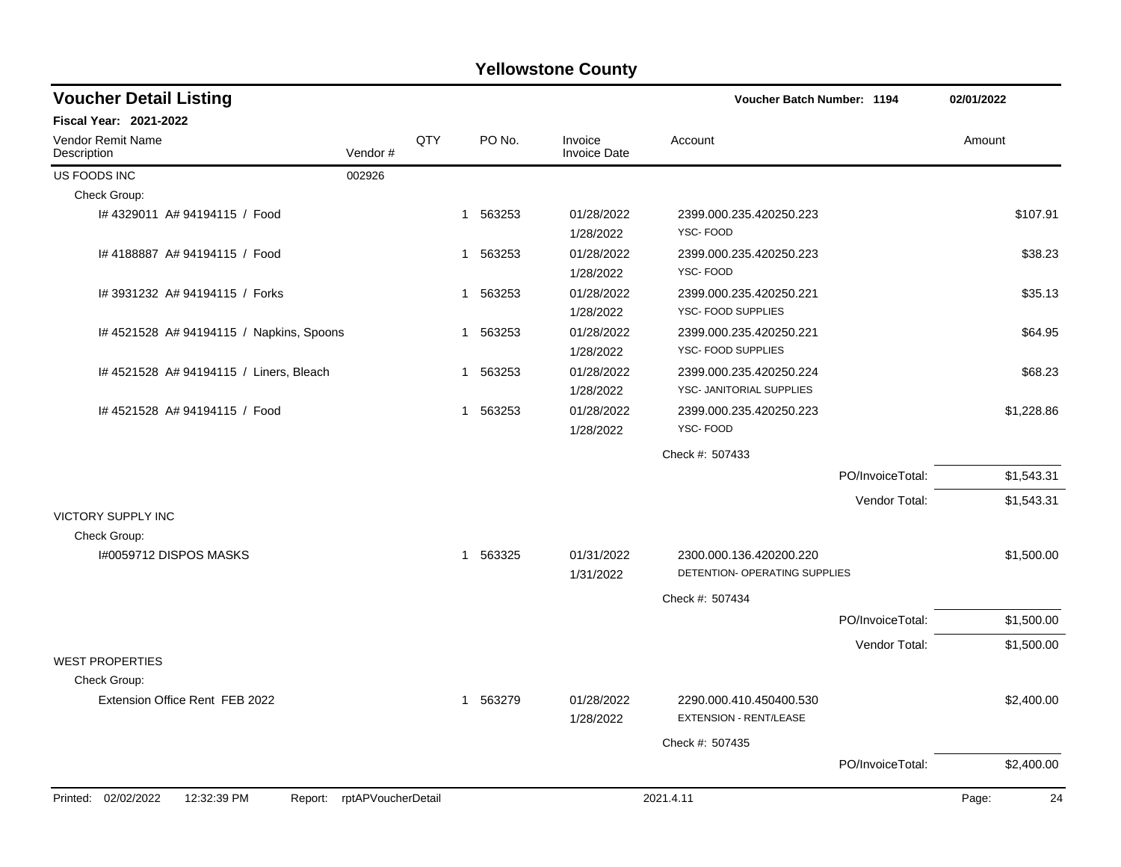| <b>Yellowstone County</b> |  |
|---------------------------|--|
|---------------------------|--|

| <b>Voucher Detail Listing</b>                                    |         |             |          |                                | Voucher Batch Number: 1194                          |                  | 02/01/2022  |
|------------------------------------------------------------------|---------|-------------|----------|--------------------------------|-----------------------------------------------------|------------------|-------------|
| <b>Fiscal Year: 2021-2022</b>                                    |         |             |          |                                |                                                     |                  |             |
| <b>Vendor Remit Name</b><br>Description                          | Vendor# | QTY         | PO No.   | Invoice<br><b>Invoice Date</b> | Account                                             |                  | Amount      |
| US FOODS INC                                                     | 002926  |             |          |                                |                                                     |                  |             |
| Check Group:                                                     |         |             |          |                                |                                                     |                  |             |
| #4329011 A#94194115 / Food                                       |         |             | 1 563253 | 01/28/2022<br>1/28/2022        | 2399.000.235.420250.223<br>YSC-FOOD                 |                  | \$107.91    |
| I# 4188887 A# 94194115 / Food                                    |         |             | 1 563253 | 01/28/2022<br>1/28/2022        | 2399.000.235.420250.223<br>YSC-FOOD                 |                  | \$38.23     |
| # 3931232 A# 94194115 / Forks                                    |         |             | 1 563253 | 01/28/2022<br>1/28/2022        | 2399.000.235.420250.221<br>YSC- FOOD SUPPLIES       |                  | \$35.13     |
| I# 4521528 A# 94194115 / Napkins, Spoons                         |         |             | 1 563253 | 01/28/2022<br>1/28/2022        | 2399.000.235.420250.221<br>YSC- FOOD SUPPLIES       |                  | \$64.95     |
| #4521528 A#94194115 / Liners, Bleach                             |         | $\mathbf 1$ | 563253   | 01/28/2022<br>1/28/2022        | 2399.000.235.420250.224<br>YSC- JANITORIAL SUPPLIES |                  | \$68.23     |
| I# 4521528 A# 94194115 / Food                                    |         |             | 1 563253 | 01/28/2022<br>1/28/2022        | 2399.000.235.420250.223<br>YSC-FOOD                 |                  | \$1,228.86  |
|                                                                  |         |             |          |                                | Check #: 507433                                     |                  |             |
|                                                                  |         |             |          |                                |                                                     | PO/InvoiceTotal: | \$1,543.31  |
|                                                                  |         |             |          |                                |                                                     | Vendor Total:    | \$1,543.31  |
| <b>VICTORY SUPPLY INC</b>                                        |         |             |          |                                |                                                     |                  |             |
| Check Group:                                                     |         |             |          |                                |                                                     |                  |             |
| I#0059712 DISPOS MASKS                                           |         |             | 1 563325 | 01/31/2022                     | 2300.000.136.420200.220                             |                  | \$1,500.00  |
|                                                                  |         |             |          | 1/31/2022                      | DETENTION- OPERATING SUPPLIES                       |                  |             |
|                                                                  |         |             |          |                                | Check #: 507434                                     |                  |             |
|                                                                  |         |             |          |                                |                                                     | PO/InvoiceTotal: | \$1,500.00  |
|                                                                  |         |             |          |                                |                                                     | Vendor Total:    | \$1,500.00  |
| <b>WEST PROPERTIES</b>                                           |         |             |          |                                |                                                     |                  |             |
| Check Group:<br>Extension Office Rent FEB 2022                   |         |             |          | 01/28/2022                     | 2290.000.410.450400.530                             |                  |             |
|                                                                  |         |             | 1 563279 | 1/28/2022                      | <b>EXTENSION - RENT/LEASE</b>                       |                  | \$2,400.00  |
|                                                                  |         |             |          |                                | Check #: 507435                                     |                  |             |
|                                                                  |         |             |          |                                |                                                     | PO/InvoiceTotal: | \$2,400.00  |
| Printed: 02/02/2022<br>12:32:39 PM<br>Report: rptAPVoucherDetail |         |             |          |                                | 2021.4.11                                           |                  | Page:<br>24 |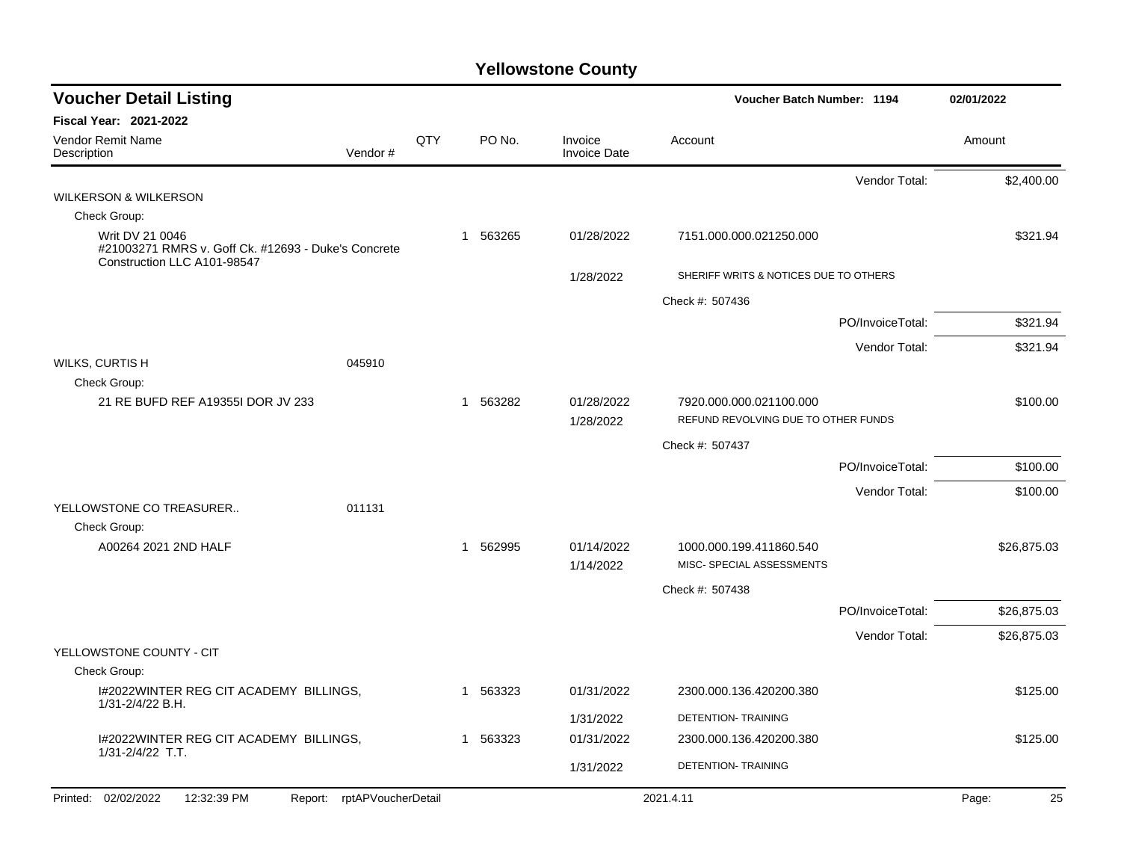| <b>Voucher Detail Listing</b>                                                                         |     |          |                                | Voucher Batch Number: 1194            | 02/01/2022  |
|-------------------------------------------------------------------------------------------------------|-----|----------|--------------------------------|---------------------------------------|-------------|
| <b>Fiscal Year: 2021-2022</b>                                                                         |     |          |                                |                                       |             |
| Vendor Remit Name<br>Description<br>Vendor#                                                           | QTY | PO No.   | Invoice<br><b>Invoice Date</b> | Account                               | Amount      |
|                                                                                                       |     |          |                                | Vendor Total:                         | \$2,400.00  |
| <b>WILKERSON &amp; WILKERSON</b>                                                                      |     |          |                                |                                       |             |
| Check Group:                                                                                          |     |          |                                |                                       |             |
| Writ DV 21 0046<br>#21003271 RMRS v. Goff Ck. #12693 - Duke's Concrete<br>Construction LLC A101-98547 |     | 1 563265 | 01/28/2022                     | 7151.000.000.021250.000               | \$321.94    |
|                                                                                                       |     |          | 1/28/2022                      | SHERIFF WRITS & NOTICES DUE TO OTHERS |             |
|                                                                                                       |     |          |                                | Check #: 507436                       |             |
|                                                                                                       |     |          |                                | PO/InvoiceTotal:                      | \$321.94    |
|                                                                                                       |     |          |                                | Vendor Total:                         | \$321.94    |
| <b>WILKS, CURTIS H</b><br>045910<br>Check Group:                                                      |     |          |                                |                                       |             |
| 21 RE BUFD REF A19355I DOR JV 233                                                                     |     | 1 563282 | 01/28/2022                     | 7920.000.000.021100.000               | \$100.00    |
|                                                                                                       |     |          | 1/28/2022                      | REFUND REVOLVING DUE TO OTHER FUNDS   |             |
|                                                                                                       |     |          |                                | Check #: 507437                       |             |
|                                                                                                       |     |          |                                | PO/InvoiceTotal:                      | \$100.00    |
|                                                                                                       |     |          |                                | Vendor Total:                         | \$100.00    |
| YELLOWSTONE CO TREASURER<br>011131                                                                    |     |          |                                |                                       |             |
| Check Group:                                                                                          |     |          |                                |                                       |             |
| A00264 2021 2ND HALF                                                                                  |     | 1 562995 | 01/14/2022                     | 1000.000.199.411860.540               | \$26,875.03 |
|                                                                                                       |     |          | 1/14/2022                      | MISC- SPECIAL ASSESSMENTS             |             |
|                                                                                                       |     |          |                                | Check #: 507438                       |             |
|                                                                                                       |     |          |                                | PO/InvoiceTotal:                      | \$26,875.03 |
|                                                                                                       |     |          |                                | Vendor Total:                         | \$26,875.03 |
| YELLOWSTONE COUNTY - CIT                                                                              |     |          |                                |                                       |             |
| Check Group:                                                                                          |     |          |                                |                                       |             |
| I#2022WINTER REG CIT ACADEMY BILLINGS,<br>1/31-2/4/22 B.H.                                            |     | 1 563323 | 01/31/2022                     | 2300.000.136.420200.380               | \$125.00    |
|                                                                                                       |     |          | 1/31/2022                      | DETENTION-TRAINING                    |             |
| I#2022WINTER REG CIT ACADEMY BILLINGS,<br>1/31-2/4/22 T.T.                                            |     | 1 563323 | 01/31/2022                     | 2300.000.136.420200.380               | \$125.00    |
|                                                                                                       |     |          | 1/31/2022                      | DETENTION- TRAINING                   |             |
| Printed: 02/02/2022<br>12:32:39 PM<br>Report: rptAPVoucherDetail                                      |     |          |                                | 2021.4.11                             | 25<br>Page: |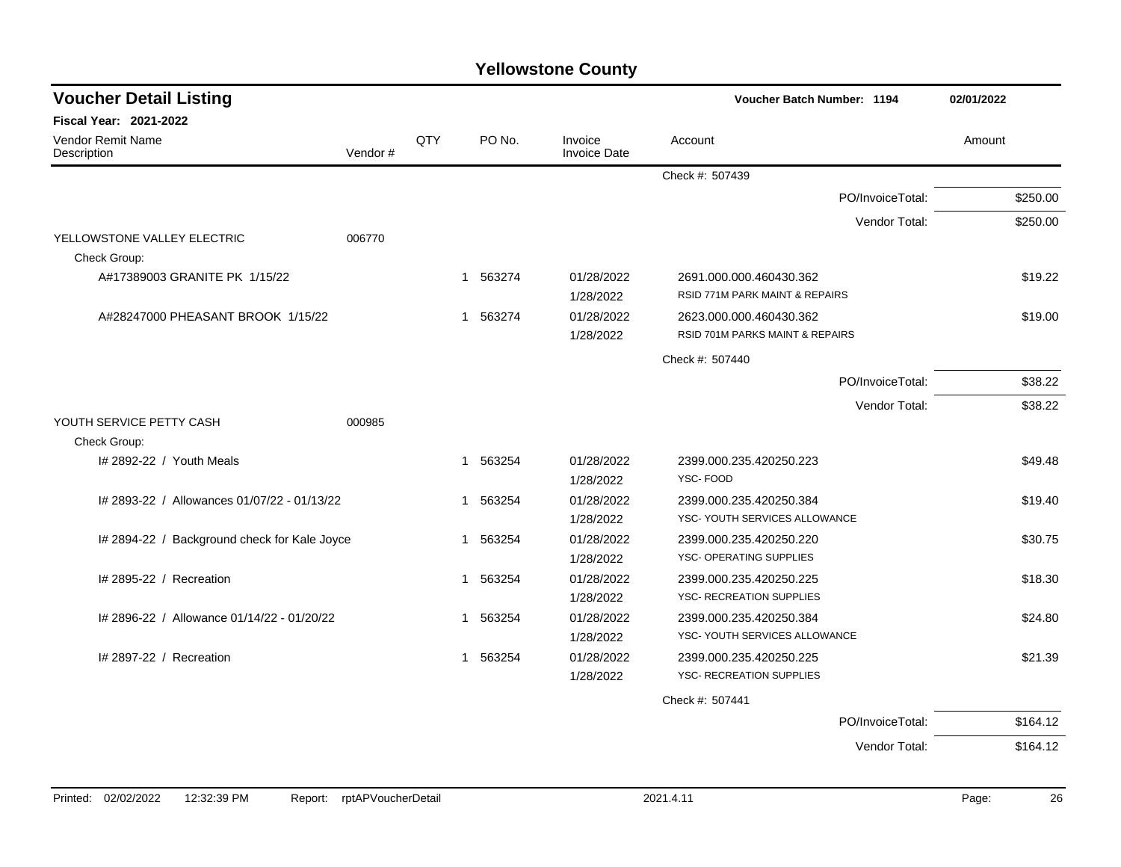| <b>Voucher Detail Listing</b>                |         |              |          |                                | Voucher Batch Number: 1194                                 | 02/01/2022 |
|----------------------------------------------|---------|--------------|----------|--------------------------------|------------------------------------------------------------|------------|
| <b>Fiscal Year: 2021-2022</b>                |         |              |          |                                |                                                            |            |
| Vendor Remit Name<br>Description             | Vendor# | QTY          | PO No.   | Invoice<br><b>Invoice Date</b> | Account                                                    | Amount     |
|                                              |         |              |          |                                | Check #: 507439                                            |            |
|                                              |         |              |          |                                | PO/InvoiceTotal:                                           | \$250.00   |
|                                              |         |              |          |                                | Vendor Total:                                              | \$250.00   |
| YELLOWSTONE VALLEY ELECTRIC                  | 006770  |              |          |                                |                                                            |            |
| Check Group:                                 |         |              |          |                                |                                                            |            |
| A#17389003 GRANITE PK 1/15/22                |         |              | 1 563274 | 01/28/2022<br>1/28/2022        | 2691.000.000.460430.362<br>RSID 771M PARK MAINT & REPAIRS  | \$19.22    |
| A#28247000 PHEASANT BROOK 1/15/22            |         |              | 1 563274 | 01/28/2022                     | 2623.000.000.460430.362                                    | \$19.00    |
|                                              |         |              |          | 1/28/2022                      | RSID 701M PARKS MAINT & REPAIRS                            |            |
|                                              |         |              |          |                                | Check #: 507440                                            |            |
|                                              |         |              |          |                                | PO/InvoiceTotal:                                           | \$38.22    |
|                                              |         |              |          |                                | Vendor Total:                                              | \$38.22    |
| YOUTH SERVICE PETTY CASH                     | 000985  |              |          |                                |                                                            |            |
| Check Group:                                 |         |              |          |                                |                                                            |            |
| I# 2892-22 / Youth Meals                     |         | $\mathbf{1}$ | 563254   | 01/28/2022                     | 2399.000.235.420250.223                                    | \$49.48    |
|                                              |         |              |          | 1/28/2022                      | YSC-FOOD                                                   |            |
| # 2893-22 / Allowances 01/07/22 - 01/13/22   |         |              | 1 563254 | 01/28/2022                     | 2399.000.235.420250.384                                    | \$19.40    |
|                                              |         |              |          | 1/28/2022                      | YSC- YOUTH SERVICES ALLOWANCE                              |            |
| I# 2894-22 / Background check for Kale Joyce |         | $\mathbf{1}$ | 563254   | 01/28/2022                     | 2399.000.235.420250.220                                    | \$30.75    |
|                                              |         |              |          | 1/28/2022                      | YSC- OPERATING SUPPLIES                                    |            |
| # 2895-22 / Recreation                       |         |              | 1 563254 | 01/28/2022                     | 2399.000.235.420250.225                                    | \$18.30    |
|                                              |         |              |          | 1/28/2022                      | YSC- RECREATION SUPPLIES                                   |            |
| # 2896-22 / Allowance 01/14/22 - 01/20/22    |         | 1            | 563254   | 01/28/2022                     | 2399.000.235.420250.384                                    | \$24.80    |
|                                              |         |              |          | 1/28/2022                      | YSC- YOUTH SERVICES ALLOWANCE                              |            |
| I# 2897-22 / Recreation                      |         |              | 1 563254 | 01/28/2022<br>1/28/2022        | 2399.000.235.420250.225<br><b>YSC- RECREATION SUPPLIES</b> | \$21.39    |
|                                              |         |              |          |                                |                                                            |            |
|                                              |         |              |          |                                | Check #: 507441                                            |            |
|                                              |         |              |          |                                | PO/InvoiceTotal:                                           | \$164.12   |
|                                              |         |              |          |                                | Vendor Total:                                              | \$164.12   |